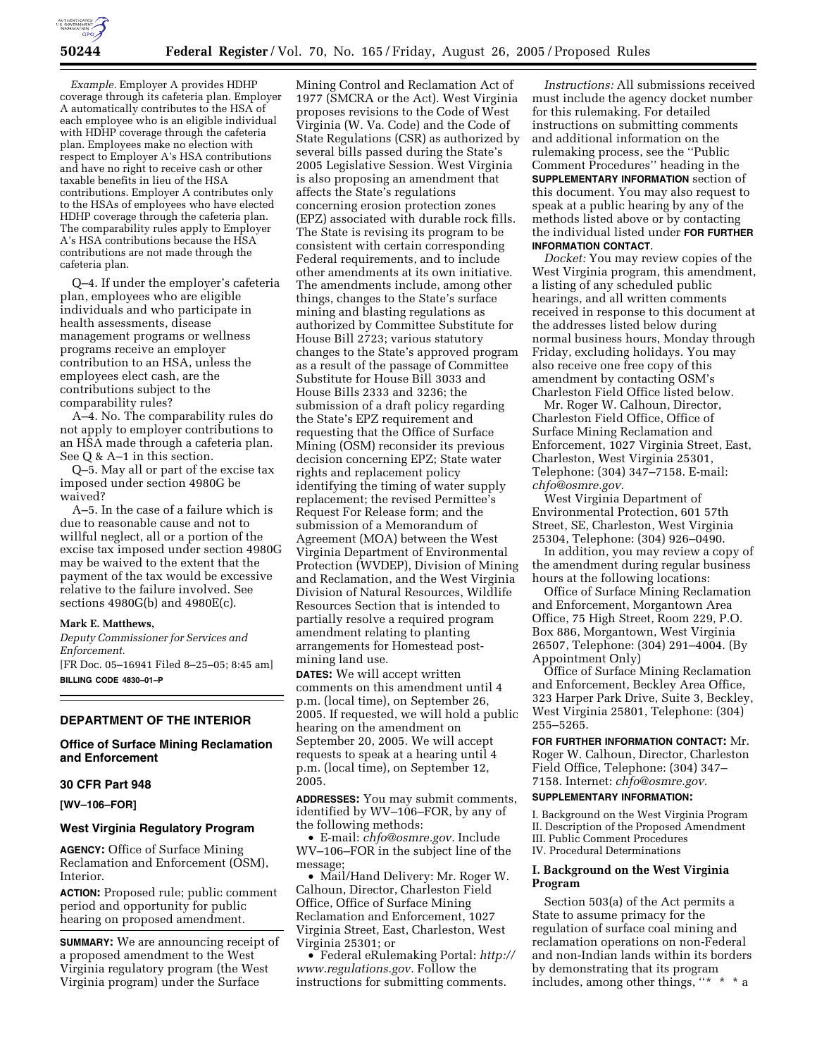

*Example.* Employer A provides HDHP coverage through its cafeteria plan. Employer A automatically contributes to the HSA of each employee who is an eligible individual with HDHP coverage through the cafeteria plan. Employees make no election with respect to Employer A's HSA contributions and have no right to receive cash or other taxable benefits in lieu of the HSA contributions. Employer A contributes only to the HSAs of employees who have elected HDHP coverage through the cafeteria plan. The comparability rules apply to Employer A's HSA contributions because the HSA contributions are not made through the cafeteria plan.

Q–4. If under the employer's cafeteria plan, employees who are eligible individuals and who participate in health assessments, disease management programs or wellness programs receive an employer contribution to an HSA, unless the employees elect cash, are the contributions subject to the comparability rules?

A–4. No. The comparability rules do not apply to employer contributions to an HSA made through a cafeteria plan. See Q & A–1 in this section.

Q–5. May all or part of the excise tax imposed under section 4980G be waived?

A–5. In the case of a failure which is due to reasonable cause and not to willful neglect, all or a portion of the excise tax imposed under section 4980G may be waived to the extent that the payment of the tax would be excessive relative to the failure involved. See sections 4980G(b) and 4980E(c).

### **Mark E. Matthews,**

*Deputy Commissioner for Services and Enforcement.*

[FR Doc. 05–16941 Filed 8–25–05; 8:45 am] **BILLING CODE 4830–01–P**

# **DEPARTMENT OF THE INTERIOR**

# **Office of Surface Mining Reclamation and Enforcement**

#### **30 CFR Part 948**

**[WV–106–FOR]** 

# **West Virginia Regulatory Program**

**AGENCY:** Office of Surface Mining Reclamation and Enforcement (OSM), Interior.

**ACTION:** Proposed rule; public comment period and opportunity for public hearing on proposed amendment.

**SUMMARY:** We are announcing receipt of a proposed amendment to the West Virginia regulatory program (the West Virginia program) under the Surface

Mining Control and Reclamation Act of 1977 (SMCRA or the Act). West Virginia proposes revisions to the Code of West Virginia (W. Va. Code) and the Code of State Regulations (CSR) as authorized by several bills passed during the State's 2005 Legislative Session. West Virginia is also proposing an amendment that affects the State's regulations concerning erosion protection zones (EPZ) associated with durable rock fills. The State is revising its program to be consistent with certain corresponding Federal requirements, and to include other amendments at its own initiative. The amendments include, among other things, changes to the State's surface mining and blasting regulations as authorized by Committee Substitute for House Bill 2723; various statutory changes to the State's approved program as a result of the passage of Committee Substitute for House Bill 3033 and House Bills 2333 and 3236; the submission of a draft policy regarding the State's EPZ requirement and requesting that the Office of Surface Mining (OSM) reconsider its previous decision concerning EPZ; State water rights and replacement policy identifying the timing of water supply replacement; the revised Permittee's Request For Release form; and the submission of a Memorandum of Agreement (MOA) between the West Virginia Department of Environmental Protection (WVDEP), Division of Mining and Reclamation, and the West Virginia Division of Natural Resources, Wildlife Resources Section that is intended to partially resolve a required program amendment relating to planting arrangements for Homestead postmining land use.

**DATES:** We will accept written comments on this amendment until 4 p.m. (local time), on September 26, 2005. If requested, we will hold a public hearing on the amendment on September 20, 2005. We will accept requests to speak at a hearing until 4 p.m. (local time), on September 12, 2005.

**ADDRESSES:** You may submit comments, identified by WV–106–FOR, by any of the following methods:

• E-mail: *chfo@osmre.gov.* Include WV–106–FOR in the subject line of the message;

• Mail/Hand Delivery: Mr. Roger W. Calhoun, Director, Charleston Field Office, Office of Surface Mining Reclamation and Enforcement, 1027 Virginia Street, East, Charleston, West Virginia 25301; or

• Federal eRulemaking Portal: *http:// www.regulations.gov.* Follow the instructions for submitting comments.

*Instructions:* All submissions received must include the agency docket number for this rulemaking. For detailed instructions on submitting comments and additional information on the rulemaking process, see the ''Public Comment Procedures'' heading in the **SUPPLEMENTARY INFORMATION** section of this document. You may also request to speak at a public hearing by any of the methods listed above or by contacting the individual listed under **FOR FURTHER INFORMATION CONTACT**.

*Docket:* You may review copies of the West Virginia program, this amendment, a listing of any scheduled public hearings, and all written comments received in response to this document at the addresses listed below during normal business hours, Monday through Friday, excluding holidays. You may also receive one free copy of this amendment by contacting OSM's Charleston Field Office listed below.

Mr. Roger W. Calhoun, Director, Charleston Field Office, Office of Surface Mining Reclamation and Enforcement, 1027 Virginia Street, East, Charleston, West Virginia 25301, Telephone: (304) 347–7158. E-mail: *chfo@osmre.gov.*

West Virginia Department of Environmental Protection, 601 57th Street, SE, Charleston, West Virginia 25304, Telephone: (304) 926–0490.

In addition, you may review a copy of the amendment during regular business hours at the following locations:

Office of Surface Mining Reclamation and Enforcement, Morgantown Area Office, 75 High Street, Room 229, P.O. Box 886, Morgantown, West Virginia 26507, Telephone: (304) 291–4004. (By Appointment Only)

Office of Surface Mining Reclamation and Enforcement, Beckley Area Office, 323 Harper Park Drive, Suite 3, Beckley, West Virginia 25801, Telephone: (304) 255–5265.

**FOR FURTHER INFORMATION CONTACT:** Mr. Roger W. Calhoun, Director, Charleston Field Office, Telephone: (304) 347– 7158. Internet: *chfo@osmre.gov.*

### **SUPPLEMENTARY INFORMATION:**

I. Background on the West Virginia Program II. Description of the Proposed Amendment III. Public Comment Procedures IV. Procedural Determinations

# **I. Background on the West Virginia Program**

Section 503(a) of the Act permits a State to assume primacy for the regulation of surface coal mining and reclamation operations on non-Federal and non-Indian lands within its borders by demonstrating that its program includes, among other things, "\* \* \* a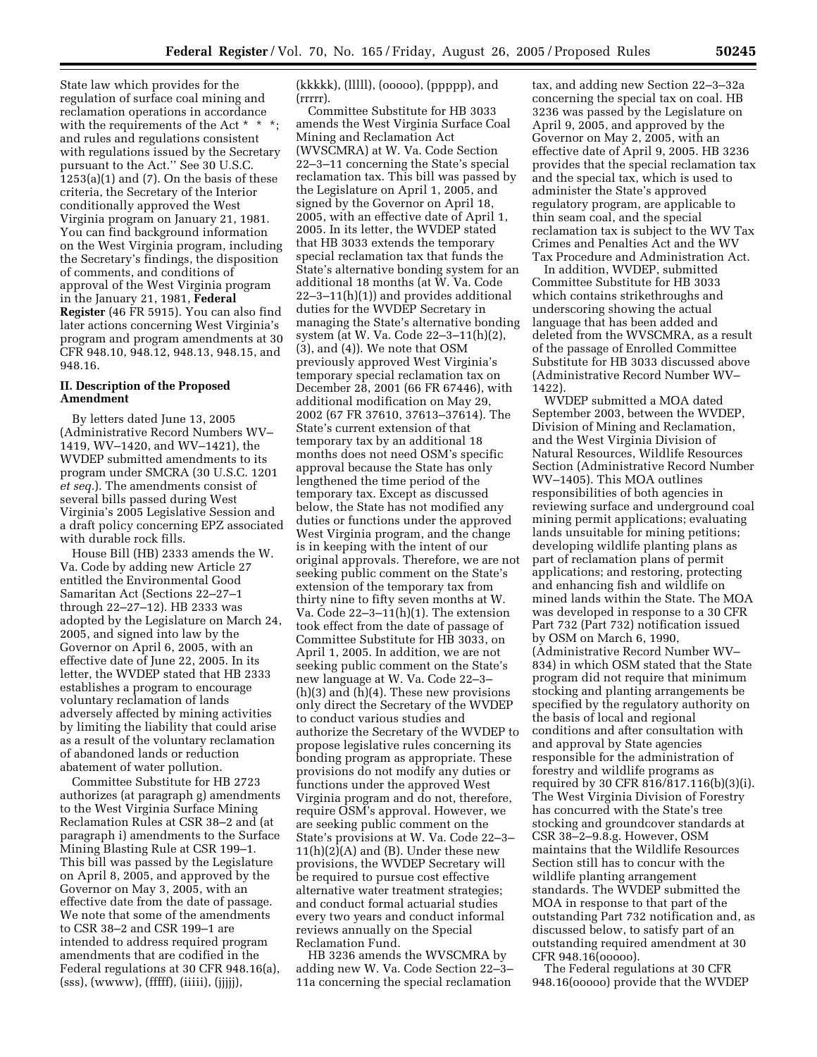State law which provides for the regulation of surface coal mining and reclamation operations in accordance with the requirements of the Act \* \* \*; and rules and regulations consistent with regulations issued by the Secretary pursuant to the Act.'' See 30 U.S.C.  $1253(a)(1)$  and  $(7)$ . On the basis of these criteria, the Secretary of the Interior conditionally approved the West Virginia program on January 21, 1981. You can find background information on the West Virginia program, including the Secretary's findings, the disposition of comments, and conditions of approval of the West Virginia program in the January 21, 1981, **Federal Register** (46 FR 5915). You can also find later actions concerning West Virginia's program and program amendments at 30 CFR 948.10, 948.12, 948.13, 948.15, and 948.16.

# **II. Description of the Proposed Amendment**

By letters dated June 13, 2005 (Administrative Record Numbers WV– 1419, WV–1420, and WV–1421), the WVDEP submitted amendments to its program under SMCRA (30 U.S.C. 1201 *et seq.*). The amendments consist of several bills passed during West Virginia's 2005 Legislative Session and a draft policy concerning EPZ associated with durable rock fills.

House Bill (HB) 2333 amends the W. Va. Code by adding new Article 27 entitled the Environmental Good Samaritan Act (Sections 22–27–1 through 22–27–12). HB 2333 was adopted by the Legislature on March 24, 2005, and signed into law by the Governor on April 6, 2005, with an effective date of June 22, 2005. In its letter, the WVDEP stated that HB 2333 establishes a program to encourage voluntary reclamation of lands adversely affected by mining activities by limiting the liability that could arise as a result of the voluntary reclamation of abandoned lands or reduction abatement of water pollution.

Committee Substitute for HB 2723 authorizes (at paragraph g) amendments to the West Virginia Surface Mining Reclamation Rules at CSR 38–2 and (at paragraph i) amendments to the Surface Mining Blasting Rule at CSR 199–1. This bill was passed by the Legislature on April 8, 2005, and approved by the Governor on May 3, 2005, with an effective date from the date of passage. We note that some of the amendments to CSR 38–2 and CSR 199–1 are intended to address required program amendments that are codified in the Federal regulations at 30 CFR 948.16(a),  $(sss)$ ,  $(www)$ ,  $(fffff)$ ,  $(iiiii)$ ,  $(iiiii)$ ,

(kkkkk), (lllll), (ooooo), (ppppp), and (rrrrr).

Committee Substitute for HB 3033 amends the West Virginia Surface Coal Mining and Reclamation Act (WVSCMRA) at W. Va. Code Section 22–3–11 concerning the State's special reclamation tax. This bill was passed by the Legislature on April 1, 2005, and signed by the Governor on April 18, 2005, with an effective date of April 1, 2005. In its letter, the WVDEP stated that HB 3033 extends the temporary special reclamation tax that funds the State's alternative bonding system for an additional 18 months (at W. Va. Code 22–3–11(h)(1)) and provides additional duties for the WVDEP Secretary in managing the State's alternative bonding system (at W. Va. Code 22–3–11(h)(2), (3), and (4)). We note that OSM previously approved West Virginia's temporary special reclamation tax on December 28, 2001 (66 FR 67446), with additional modification on May 29, 2002 (67 FR 37610, 37613–37614). The State's current extension of that temporary tax by an additional 18 months does not need OSM's specific approval because the State has only lengthened the time period of the temporary tax. Except as discussed below, the State has not modified any duties or functions under the approved West Virginia program, and the change is in keeping with the intent of our original approvals. Therefore, we are not seeking public comment on the State's extension of the temporary tax from thirty nine to fifty seven months at W. Va. Code 22–3–11(h)(1). The extension took effect from the date of passage of Committee Substitute for HB 3033, on April 1, 2005. In addition, we are not seeking public comment on the State's new language at W. Va. Code 22–3– (h)(3) and (h)(4). These new provisions only direct the Secretary of the WVDEP to conduct various studies and authorize the Secretary of the WVDEP to propose legislative rules concerning its bonding program as appropriate. These provisions do not modify any duties or functions under the approved West Virginia program and do not, therefore, require OSM's approval. However, we are seeking public comment on the State's provisions at W. Va. Code 22–3–  $11(h)(2)(A)$  and  $(B)$ . Under these new provisions, the WVDEP Secretary will be required to pursue cost effective alternative water treatment strategies; and conduct formal actuarial studies every two years and conduct informal reviews annually on the Special Reclamation Fund.

HB 3236 amends the WVSCMRA by adding new W. Va. Code Section 22–3– 11a concerning the special reclamation

tax, and adding new Section 22–3–32a concerning the special tax on coal. HB 3236 was passed by the Legislature on April 9, 2005, and approved by the Governor on May 2, 2005, with an effective date of April 9, 2005. HB 3236 provides that the special reclamation tax and the special tax, which is used to administer the State's approved regulatory program, are applicable to thin seam coal, and the special reclamation tax is subject to the WV Tax Crimes and Penalties Act and the WV Tax Procedure and Administration Act.

In addition, WVDEP, submitted Committee Substitute for HB 3033 which contains strikethroughs and underscoring showing the actual language that has been added and deleted from the WVSCMRA, as a result of the passage of Enrolled Committee Substitute for HB 3033 discussed above (Administrative Record Number WV– 1422).

WVDEP submitted a MOA dated September 2003, between the WVDEP, Division of Mining and Reclamation, and the West Virginia Division of Natural Resources, Wildlife Resources Section (Administrative Record Number WV–1405). This MOA outlines responsibilities of both agencies in reviewing surface and underground coal mining permit applications; evaluating lands unsuitable for mining petitions; developing wildlife planting plans as part of reclamation plans of permit applications; and restoring, protecting and enhancing fish and wildlife on mined lands within the State. The MOA was developed in response to a 30 CFR Part 732 (Part 732) notification issued by OSM on March 6, 1990, (Administrative Record Number WV– 834) in which OSM stated that the State program did not require that minimum stocking and planting arrangements be specified by the regulatory authority on the basis of local and regional conditions and after consultation with and approval by State agencies responsible for the administration of forestry and wildlife programs as required by 30 CFR 816/817.116(b)(3)(i). The West Virginia Division of Forestry has concurred with the State's tree stocking and groundcover standards at CSR 38–2–9.8.g. However, OSM maintains that the Wildlife Resources Section still has to concur with the wildlife planting arrangement standards. The WVDEP submitted the MOA in response to that part of the outstanding Part 732 notification and, as discussed below, to satisfy part of an outstanding required amendment at 30 CFR 948.16(ooooo).

The Federal regulations at 30 CFR 948.16(ooooo) provide that the WVDEP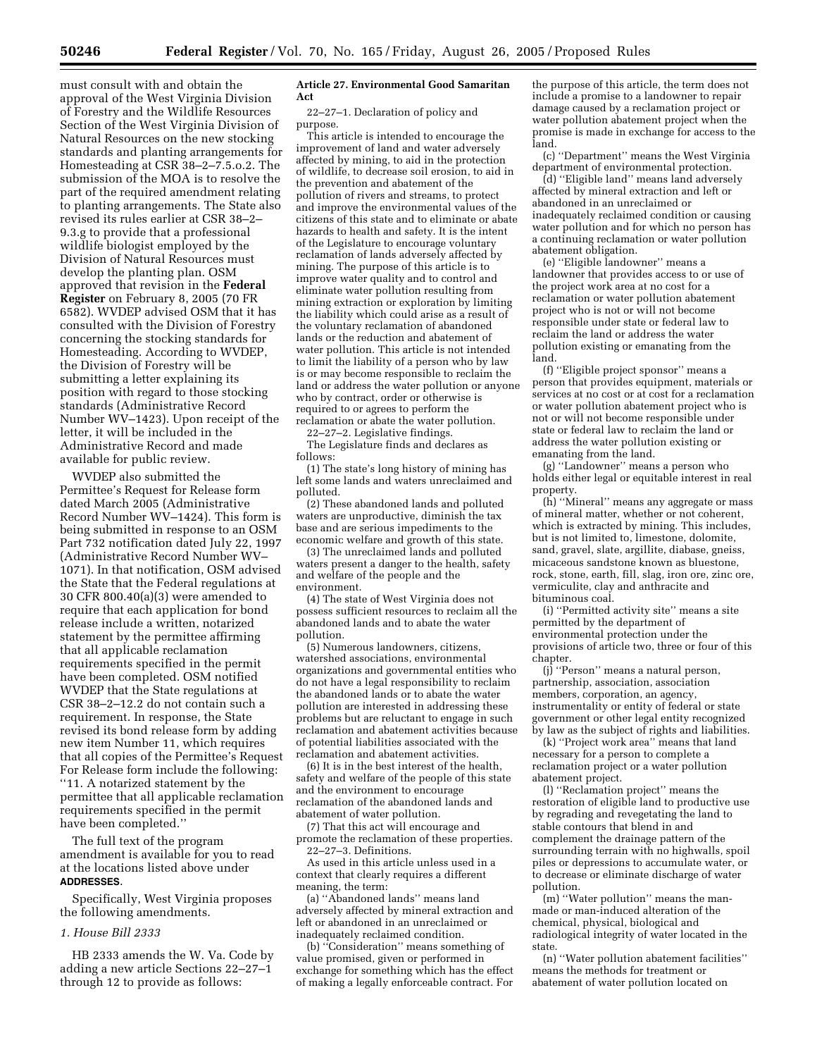must consult with and obtain the approval of the West Virginia Division of Forestry and the Wildlife Resources Section of the West Virginia Division of Natural Resources on the new stocking standards and planting arrangements for Homesteading at CSR 38–2–7.5.o.2. The submission of the MOA is to resolve the part of the required amendment relating to planting arrangements. The State also revised its rules earlier at CSR 38–2– 9.3.g to provide that a professional wildlife biologist employed by the Division of Natural Resources must develop the planting plan. OSM approved that revision in the **Federal Register** on February 8, 2005 (70 FR 6582). WVDEP advised OSM that it has consulted with the Division of Forestry concerning the stocking standards for Homesteading. According to WVDEP, the Division of Forestry will be submitting a letter explaining its position with regard to those stocking standards (Administrative Record Number WV–1423). Upon receipt of the letter, it will be included in the Administrative Record and made available for public review.

WVDEP also submitted the Permittee's Request for Release form dated March 2005 (Administrative Record Number WV–1424). This form is being submitted in response to an OSM Part 732 notification dated July 22, 1997 (Administrative Record Number WV– 1071). In that notification, OSM advised the State that the Federal regulations at 30 CFR 800.40(a)(3) were amended to require that each application for bond release include a written, notarized statement by the permittee affirming that all applicable reclamation requirements specified in the permit have been completed. OSM notified WVDEP that the State regulations at CSR 38–2–12.2 do not contain such a requirement. In response, the State revised its bond release form by adding new item Number 11, which requires that all copies of the Permittee's Request For Release form include the following: ''11. A notarized statement by the permittee that all applicable reclamation requirements specified in the permit have been completed.''

The full text of the program amendment is available for you to read at the locations listed above under **ADDRESSES**.

Specifically, West Virginia proposes the following amendments.

### *1. House Bill 2333*

HB 2333 amends the W. Va. Code by adding a new article Sections 22–27–1 through 12 to provide as follows:

#### **Article 27. Environmental Good Samaritan Act**

22–27–1. Declaration of policy and purpose.

This article is intended to encourage the improvement of land and water adversely affected by mining, to aid in the protection of wildlife, to decrease soil erosion, to aid in the prevention and abatement of the pollution of rivers and streams, to protect and improve the environmental values of the citizens of this state and to eliminate or abate hazards to health and safety. It is the intent of the Legislature to encourage voluntary reclamation of lands adversely affected by mining. The purpose of this article is to improve water quality and to control and eliminate water pollution resulting from mining extraction or exploration by limiting the liability which could arise as a result of the voluntary reclamation of abandoned lands or the reduction and abatement of water pollution. This article is not intended to limit the liability of a person who by law is or may become responsible to reclaim the land or address the water pollution or anyone who by contract, order or otherwise is required to or agrees to perform the reclamation or abate the water pollution.

22–27–2. Legislative findings. The Legislature finds and declares as follows:

(1) The state's long history of mining has left some lands and waters unreclaimed and polluted.

(2) These abandoned lands and polluted waters are unproductive, diminish the tax base and are serious impediments to the economic welfare and growth of this state.

(3) The unreclaimed lands and polluted waters present a danger to the health, safety and welfare of the people and the environment.

(4) The state of West Virginia does not possess sufficient resources to reclaim all the abandoned lands and to abate the water pollution.

(5) Numerous landowners, citizens, watershed associations, environmental organizations and governmental entities who do not have a legal responsibility to reclaim the abandoned lands or to abate the water pollution are interested in addressing these problems but are reluctant to engage in such reclamation and abatement activities because of potential liabilities associated with the reclamation and abatement activities.

(6) It is in the best interest of the health, safety and welfare of the people of this state and the environment to encourage reclamation of the abandoned lands and abatement of water pollution.

(7) That this act will encourage and promote the reclamation of these properties. 22–27–3. Definitions.

As used in this article unless used in a context that clearly requires a different meaning, the term:

(a) ''Abandoned lands'' means land adversely affected by mineral extraction and left or abandoned in an unreclaimed or inadequately reclaimed condition.

(b) ''Consideration'' means something of value promised, given or performed in exchange for something which has the effect of making a legally enforceable contract. For

the purpose of this article, the term does not include a promise to a landowner to repair damage caused by a reclamation project or water pollution abatement project when the promise is made in exchange for access to the land.

(c) ''Department'' means the West Virginia department of environmental protection.

(d) ''Eligible land'' means land adversely affected by mineral extraction and left or abandoned in an unreclaimed or inadequately reclaimed condition or causing water pollution and for which no person has a continuing reclamation or water pollution abatement obligation.

(e) ''Eligible landowner'' means a landowner that provides access to or use of the project work area at no cost for a reclamation or water pollution abatement project who is not or will not become responsible under state or federal law to reclaim the land or address the water pollution existing or emanating from the land.

(f) ''Eligible project sponsor'' means a person that provides equipment, materials or services at no cost or at cost for a reclamation or water pollution abatement project who is not or will not become responsible under state or federal law to reclaim the land or address the water pollution existing or emanating from the land.

(g) ''Landowner'' means a person who holds either legal or equitable interest in real property.

(h) ''Mineral'' means any aggregate or mass of mineral matter, whether or not coherent, which is extracted by mining. This includes, but is not limited to, limestone, dolomite, sand, gravel, slate, argillite, diabase, gneiss, micaceous sandstone known as bluestone, rock, stone, earth, fill, slag, iron ore, zinc ore, vermiculite, clay and anthracite and bituminous coal.

(i) ''Permitted activity site'' means a site permitted by the department of environmental protection under the provisions of article two, three or four of this chapter.

(j) ''Person'' means a natural person, partnership, association, association members, corporation, an agency, instrumentality or entity of federal or state government or other legal entity recognized by law as the subject of rights and liabilities.

(k) ''Project work area'' means that land necessary for a person to complete a reclamation project or a water pollution abatement project.

(l) ''Reclamation project'' means the restoration of eligible land to productive use by regrading and revegetating the land to stable contours that blend in and complement the drainage pattern of the surrounding terrain with no highwalls, spoil piles or depressions to accumulate water, or to decrease or eliminate discharge of water pollution.

(m) ''Water pollution'' means the manmade or man-induced alteration of the chemical, physical, biological and radiological integrity of water located in the state.

(n) ''Water pollution abatement facilities'' means the methods for treatment or abatement of water pollution located on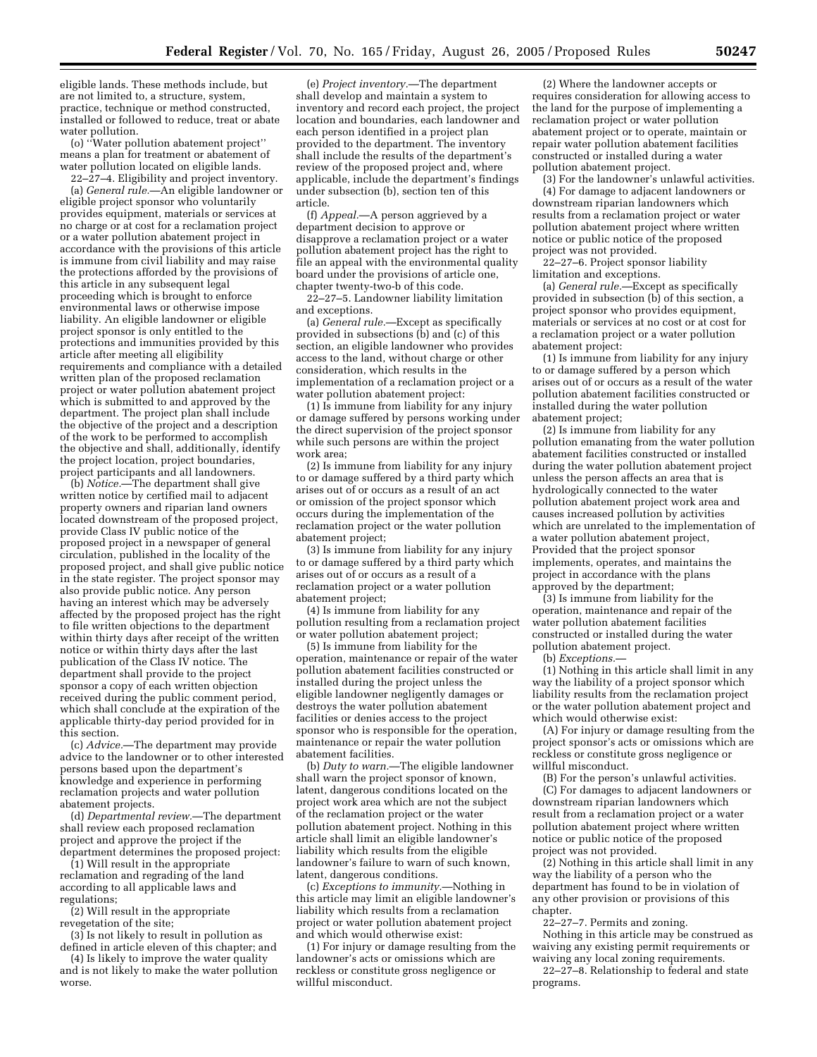eligible lands. These methods include, but are not limited to, a structure, system, practice, technique or method constructed, installed or followed to reduce, treat or abate water pollution.

(o) ''Water pollution abatement project'' means a plan for treatment or abatement of water pollution located on eligible lands.

22–27–4. Eligibility and project inventory. (a) *General rule.*—An eligible landowner or eligible project sponsor who voluntarily provides equipment, materials or services at no charge or at cost for a reclamation project or a water pollution abatement project in accordance with the provisions of this article is immune from civil liability and may raise the protections afforded by the provisions of this article in any subsequent legal proceeding which is brought to enforce environmental laws or otherwise impose liability. An eligible landowner or eligible project sponsor is only entitled to the protections and immunities provided by this article after meeting all eligibility requirements and compliance with a detailed written plan of the proposed reclamation project or water pollution abatement project which is submitted to and approved by the department. The project plan shall include the objective of the project and a description of the work to be performed to accomplish the objective and shall, additionally, identify the project location, project boundaries, project participants and all landowners.

(b) *Notice.*—The department shall give written notice by certified mail to adjacent property owners and riparian land owners located downstream of the proposed project, provide Class IV public notice of the proposed project in a newspaper of general circulation, published in the locality of the proposed project, and shall give public notice in the state register. The project sponsor may also provide public notice. Any person having an interest which may be adversely affected by the proposed project has the right to file written objections to the department within thirty days after receipt of the written notice or within thirty days after the last publication of the Class IV notice. The department shall provide to the project sponsor a copy of each written objection received during the public comment period, which shall conclude at the expiration of the applicable thirty-day period provided for in this section.

(c) *Advice.*—The department may provide advice to the landowner or to other interested persons based upon the department's knowledge and experience in performing reclamation projects and water pollution abatement projects.

(d) *Departmental review.*—The department shall review each proposed reclamation project and approve the project if the department determines the proposed project:

(1) Will result in the appropriate reclamation and regrading of the land according to all applicable laws and regulations;

(2) Will result in the appropriate revegetation of the site;

(3) Is not likely to result in pollution as defined in article eleven of this chapter; and

(4) Is likely to improve the water quality and is not likely to make the water pollution worse.

(e) *Project inventory.*—The department shall develop and maintain a system to inventory and record each project, the project location and boundaries, each landowner and each person identified in a project plan provided to the department. The inventory shall include the results of the department's review of the proposed project and, where applicable, include the department's findings under subsection (b), section ten of this article.

(f) *Appeal.*—A person aggrieved by a department decision to approve or disapprove a reclamation project or a water pollution abatement project has the right to file an appeal with the environmental quality board under the provisions of article one, chapter twenty-two-b of this code.

22–27–5. Landowner liability limitation and exceptions.

(a) *General rule.*—Except as specifically provided in subsections  $(b)$  and  $(c)$  of this section, an eligible landowner who provides access to the land, without charge or other consideration, which results in the implementation of a reclamation project or a water pollution abatement project:

 $(1)$  Is immune from liability for any injury or damage suffered by persons working under the direct supervision of the project sponsor while such persons are within the project work area;

(2) Is immune from liability for any injury to or damage suffered by a third party which arises out of or occurs as a result of an act or omission of the project sponsor which occurs during the implementation of the reclamation project or the water pollution abatement project;

(3) Is immune from liability for any injury to or damage suffered by a third party which arises out of or occurs as a result of a reclamation project or a water pollution abatement project;

(4) Is immune from liability for any pollution resulting from a reclamation project or water pollution abatement project;

(5) Is immune from liability for the operation, maintenance or repair of the water pollution abatement facilities constructed or installed during the project unless the eligible landowner negligently damages or destroys the water pollution abatement facilities or denies access to the project sponsor who is responsible for the operation. maintenance or repair the water pollution abatement facilities.

(b) *Duty to warn.*—The eligible landowner shall warn the project sponsor of known, latent, dangerous conditions located on the project work area which are not the subject of the reclamation project or the water pollution abatement project. Nothing in this article shall limit an eligible landowner's liability which results from the eligible landowner's failure to warn of such known, latent, dangerous conditions.

(c) *Exceptions to immunity.*—Nothing in this article may limit an eligible landowner's liability which results from a reclamation project or water pollution abatement project and which would otherwise exist:

(1) For injury or damage resulting from the landowner's acts or omissions which are reckless or constitute gross negligence or willful misconduct.

(2) Where the landowner accepts or requires consideration for allowing access to the land for the purpose of implementing a reclamation project or water pollution abatement project or to operate, maintain or repair water pollution abatement facilities constructed or installed during a water pollution abatement project.

(3) For the landowner's unlawful activities. (4) For damage to adjacent landowners or downstream riparian landowners which results from a reclamation project or water pollution abatement project where written notice or public notice of the proposed project was not provided.

22–27–6. Project sponsor liability limitation and exceptions.

(a) *General rule.*—Except as specifically provided in subsection (b) of this section, a project sponsor who provides equipment, materials or services at no cost or at cost for a reclamation project or a water pollution abatement project:

(1) Is immune from liability for any injury to or damage suffered by a person which arises out of or occurs as a result of the water pollution abatement facilities constructed or installed during the water pollution abatement project;

(2) Is immune from liability for any pollution emanating from the water pollution abatement facilities constructed or installed during the water pollution abatement project unless the person affects an area that is hydrologically connected to the water pollution abatement project work area and causes increased pollution by activities which are unrelated to the implementation of a water pollution abatement project, Provided that the project sponsor implements, operates, and maintains the project in accordance with the plans approved by the department;

(3) Is immune from liability for the operation, maintenance and repair of the water pollution abatement facilities constructed or installed during the water pollution abatement project.

(b) *Exceptions.*—

(1) Nothing in this article shall limit in any way the liability of a project sponsor which liability results from the reclamation project or the water pollution abatement project and which would otherwise exist:

(A) For injury or damage resulting from the project sponsor's acts or omissions which are reckless or constitute gross negligence or willful misconduct.

(B) For the person's unlawful activities. (C) For damages to adjacent landowners or downstream riparian landowners which result from a reclamation project or a water pollution abatement project where written notice or public notice of the proposed project was not provided.

(2) Nothing in this article shall limit in any way the liability of a person who the department has found to be in violation of any other provision or provisions of this chapter.

22–27–7. Permits and zoning.

Nothing in this article may be construed as waiving any existing permit requirements or waiving any local zoning requirements.

22–27–8. Relationship to federal and state programs.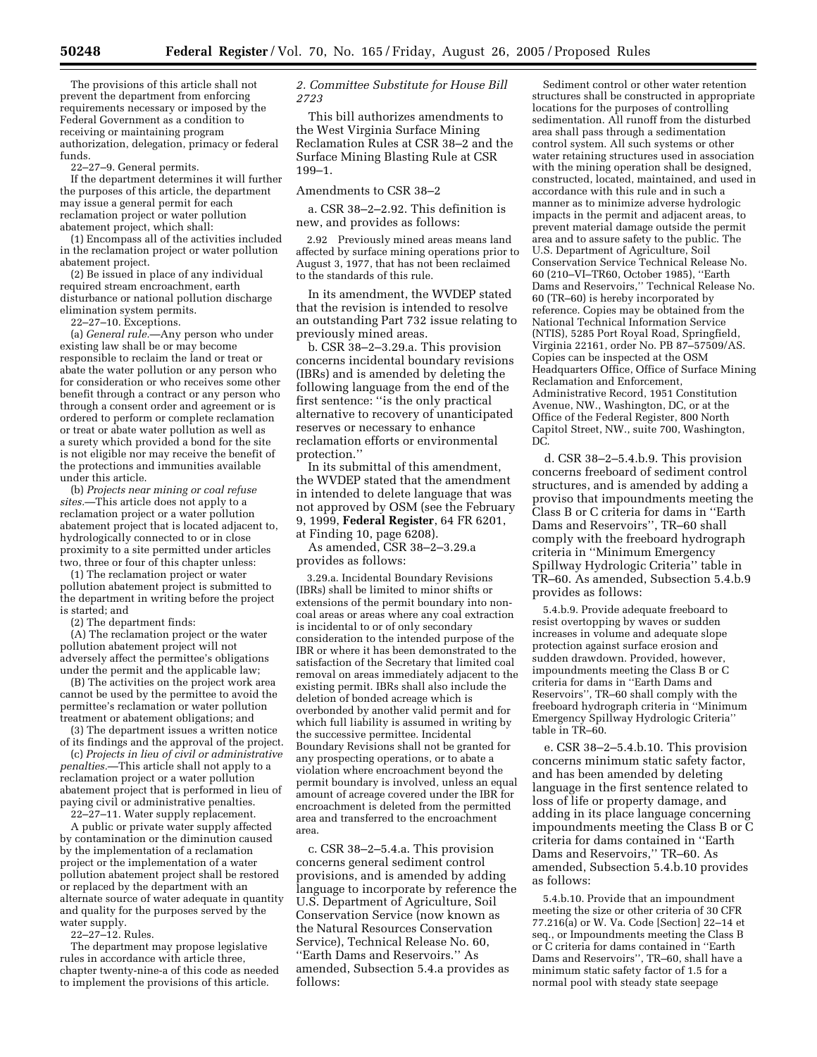The provisions of this article shall not prevent the department from enforcing requirements necessary or imposed by the Federal Government as a condition to receiving or maintaining program authorization, delegation, primacy or federal funds.

22–27–9. General permits.

If the department determines it will further the purposes of this article, the department may issue a general permit for each reclamation project or water pollution abatement project, which shall:

(1) Encompass all of the activities included in the reclamation project or water pollution abatement project.

(2) Be issued in place of any individual required stream encroachment, earth disturbance or national pollution discharge elimination system permits.

22–27–10. Exceptions.

(a) *General rule.*—Any person who under existing law shall be or may become responsible to reclaim the land or treat or abate the water pollution or any person who for consideration or who receives some other benefit through a contract or any person who through a consent order and agreement or is ordered to perform or complete reclamation or treat or abate water pollution as well as a surety which provided a bond for the site is not eligible nor may receive the benefit of the protections and immunities available under this article.

(b) *Projects near mining or coal refuse sites.*—This article does not apply to a reclamation project or a water pollution abatement project that is located adjacent to, hydrologically connected to or in close proximity to a site permitted under articles two, three or four of this chapter unless:

(1) The reclamation project or water pollution abatement project is submitted to the department in writing before the project is started; and

(2) The department finds:

(A) The reclamation project or the water pollution abatement project will not adversely affect the permittee's obligations under the permit and the applicable law;

(B) The activities on the project work area cannot be used by the permittee to avoid the permittee's reclamation or water pollution treatment or abatement obligations; and (3) The department issues a written notice

of its findings and the approval of the project.

(c) *Projects in lieu of civil or administrative penalties.*—This article shall not apply to a reclamation project or a water pollution abatement project that is performed in lieu of paying civil or administrative penalties.

22–27–11. Water supply replacement.

A public or private water supply affected by contamination or the diminution caused by the implementation of a reclamation project or the implementation of a water pollution abatement project shall be restored or replaced by the department with an alternate source of water adequate in quantity and quality for the purposes served by the water supply.

22–27–12. Rules.

The department may propose legislative rules in accordance with article three, chapter twenty-nine-a of this code as needed to implement the provisions of this article.

## *2. Committee Substitute for House Bill 2723*

This bill authorizes amendments to the West Virginia Surface Mining Reclamation Rules at CSR 38–2 and the Surface Mining Blasting Rule at CSR 199–1.

Amendments to CSR 38–2

a. CSR 38–2–2.92. This definition is new, and provides as follows:

2.92 Previously mined areas means land affected by surface mining operations prior to August 3, 1977, that has not been reclaimed to the standards of this rule.

In its amendment, the WVDEP stated that the revision is intended to resolve an outstanding Part 732 issue relating to previously mined areas.

b. CSR 38–2–3.29.a. This provision concerns incidental boundary revisions (IBRs) and is amended by deleting the following language from the end of the first sentence: ''is the only practical alternative to recovery of unanticipated reserves or necessary to enhance reclamation efforts or environmental protection.''

In its submittal of this amendment, the WVDEP stated that the amendment in intended to delete language that was not approved by OSM (see the February 9, 1999, **Federal Register**, 64 FR 6201, at Finding 10, page 6208).

As amended, CSR 38–2–3.29.a provides as follows:

3.29.a. Incidental Boundary Revisions (IBRs) shall be limited to minor shifts or extensions of the permit boundary into noncoal areas or areas where any coal extraction is incidental to or of only secondary consideration to the intended purpose of the IBR or where it has been demonstrated to the satisfaction of the Secretary that limited coal removal on areas immediately adjacent to the existing permit. IBRs shall also include the deletion of bonded acreage which is overbonded by another valid permit and for which full liability is assumed in writing by the successive permittee. Incidental Boundary Revisions shall not be granted for any prospecting operations, or to abate a violation where encroachment beyond the permit boundary is involved, unless an equal amount of acreage covered under the IBR for encroachment is deleted from the permitted area and transferred to the encroachment area.

c. CSR 38–2–5.4.a. This provision concerns general sediment control provisions, and is amended by adding language to incorporate by reference the U.S. Department of Agriculture, Soil Conservation Service (now known as the Natural Resources Conservation Service), Technical Release No. 60, ''Earth Dams and Reservoirs.'' As amended, Subsection 5.4.a provides as follows:

Sediment control or other water retention structures shall be constructed in appropriate locations for the purposes of controlling sedimentation. All runoff from the disturbed area shall pass through a sedimentation control system. All such systems or other water retaining structures used in association with the mining operation shall be designed, constructed, located, maintained, and used in accordance with this rule and in such a manner as to minimize adverse hydrologic impacts in the permit and adjacent areas, to prevent material damage outside the permit area and to assure safety to the public. The U.S. Department of Agriculture, Soil Conservation Service Technical Release No. 60 (210–VI–TR60, October 1985), ''Earth Dams and Reservoirs,'' Technical Release No. 60 (TR–60) is hereby incorporated by reference. Copies may be obtained from the National Technical Information Service (NTIS), 5285 Port Royal Road, Springfield, Virginia 22161, order No. PB 87–57509/AS. Copies can be inspected at the OSM Headquarters Office, Office of Surface Mining Reclamation and Enforcement, Administrative Record, 1951 Constitution Avenue, NW., Washington, DC, or at the Office of the Federal Register, 800 North Capitol Street, NW., suite 700, Washington, DC.

d. CSR 38–2–5.4.b.9. This provision concerns freeboard of sediment control structures, and is amended by adding a proviso that impoundments meeting the Class B or C criteria for dams in ''Earth Dams and Reservoirs'', TR–60 shall comply with the freeboard hydrograph criteria in ''Minimum Emergency Spillway Hydrologic Criteria'' table in TR–60. As amended, Subsection 5.4.b.9 provides as follows:

5.4.b.9. Provide adequate freeboard to resist overtopping by waves or sudden increases in volume and adequate slope protection against surface erosion and sudden drawdown. Provided, however, impoundments meeting the Class B or C criteria for dams in ''Earth Dams and Reservoirs'', TR–60 shall comply with the freeboard hydrograph criteria in ''Minimum Emergency Spillway Hydrologic Criteria'' table in TR–60.

e. CSR 38–2–5.4.b.10. This provision concerns minimum static safety factor, and has been amended by deleting language in the first sentence related to loss of life or property damage, and adding in its place language concerning impoundments meeting the Class B or C criteria for dams contained in ''Earth Dams and Reservoirs,'' TR–60. As amended, Subsection 5.4.b.10 provides as follows:

5.4.b.10. Provide that an impoundment meeting the size or other criteria of 30 CFR 77.216(a) or W. Va. Code [Section] 22–14 et seq., or Impoundments meeting the Class B or C criteria for dams contained in ''Earth Dams and Reservoirs'', TR–60, shall have a minimum static safety factor of 1.5 for a normal pool with steady state seepage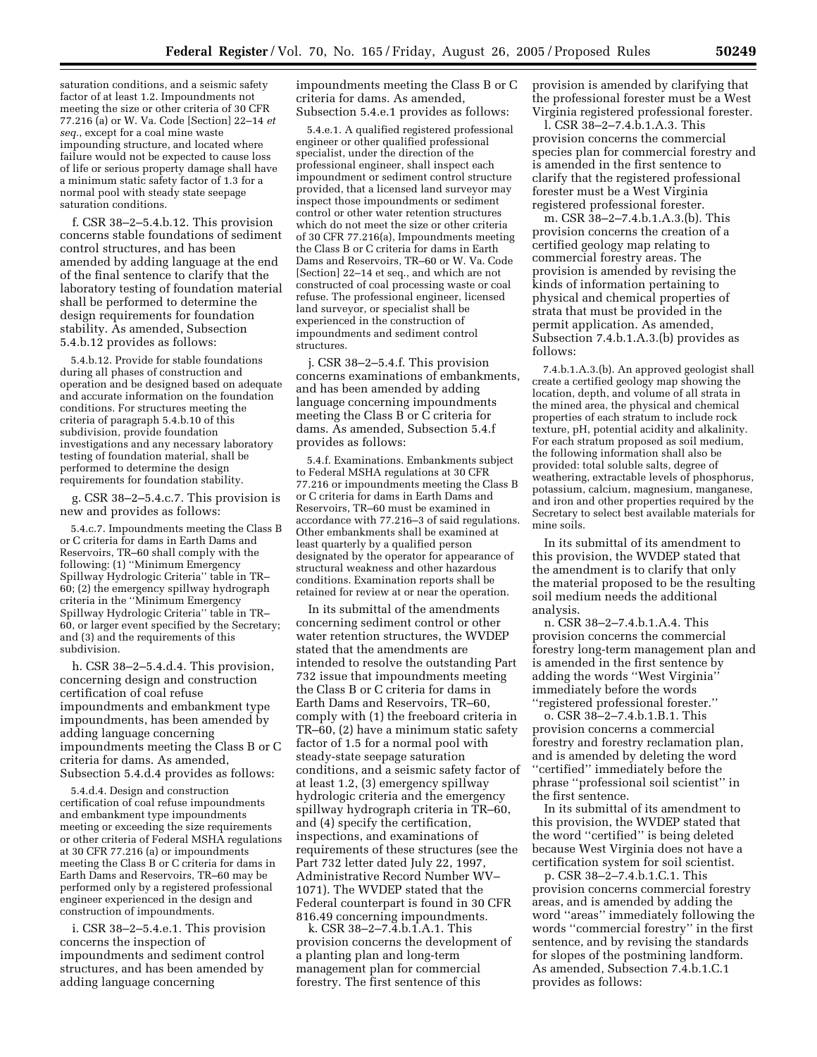saturation conditions, and a seismic safety factor of at least 1.2. Impoundments not meeting the size or other criteria of 30 CFR 77.216 (a) or W. Va. Code [Section] 22–14 *et seq.*, except for a coal mine waste impounding structure, and located where failure would not be expected to cause loss of life or serious property damage shall have a minimum static safety factor of 1.3 for a normal pool with steady state seepage saturation conditions.

f. CSR 38–2–5.4.b.12. This provision concerns stable foundations of sediment control structures, and has been amended by adding language at the end of the final sentence to clarify that the laboratory testing of foundation material shall be performed to determine the design requirements for foundation stability. As amended, Subsection 5.4.b.12 provides as follows:

5.4.b.12. Provide for stable foundations during all phases of construction and operation and be designed based on adequate and accurate information on the foundation conditions. For structures meeting the criteria of paragraph 5.4.b.10 of this subdivision, provide foundation investigations and any necessary laboratory testing of foundation material, shall be performed to determine the design requirements for foundation stability.

g. CSR 38–2–5.4.c.7. This provision is new and provides as follows:

5.4.c.7. Impoundments meeting the Class B or C criteria for dams in Earth Dams and Reservoirs, TR–60 shall comply with the following: (1) ''Minimum Emergency Spillway Hydrologic Criteria'' table in TR– 60; (2) the emergency spillway hydrograph criteria in the ''Minimum Emergency Spillway Hydrologic Criteria'' table in TR– 60, or larger event specified by the Secretary; and (3) and the requirements of this subdivision.

h. CSR 38–2–5.4.d.4. This provision, concerning design and construction certification of coal refuse impoundments and embankment type impoundments, has been amended by adding language concerning impoundments meeting the Class B or C criteria for dams. As amended, Subsection 5.4.d.4 provides as follows:

5.4.d.4. Design and construction certification of coal refuse impoundments and embankment type impoundments meeting or exceeding the size requirements or other criteria of Federal MSHA regulations at 30 CFR 77.216 (a) or impoundments meeting the Class B or C criteria for dams in Earth Dams and Reservoirs, TR–60 may be performed only by a registered professional engineer experienced in the design and construction of impoundments.

i. CSR 38–2–5.4.e.1. This provision concerns the inspection of impoundments and sediment control structures, and has been amended by adding language concerning

impoundments meeting the Class B or C criteria for dams. As amended, Subsection 5.4.e.1 provides as follows:

5.4.e.1. A qualified registered professional engineer or other qualified professional specialist, under the direction of the professional engineer, shall inspect each impoundment or sediment control structure provided, that a licensed land surveyor may inspect those impoundments or sediment control or other water retention structures which do not meet the size or other criteria of 30 CFR 77.216(a), Impoundments meeting the Class B or C criteria for dams in Earth Dams and Reservoirs, TR–60 or W. Va. Code [Section] 22–14 et seq., and which are not constructed of coal processing waste or coal refuse. The professional engineer, licensed land surveyor, or specialist shall be experienced in the construction of impoundments and sediment control structures.

j. CSR 38–2–5.4.f. This provision concerns examinations of embankments, and has been amended by adding language concerning impoundments meeting the Class B or C criteria for dams. As amended, Subsection 5.4.f provides as follows:

5.4.f. Examinations. Embankments subject to Federal MSHA regulations at 30 CFR 77.216 or impoundments meeting the Class B or C criteria for dams in Earth Dams and Reservoirs, TR–60 must be examined in accordance with 77.216–3 of said regulations. Other embankments shall be examined at least quarterly by a qualified person designated by the operator for appearance of structural weakness and other hazardous conditions. Examination reports shall be retained for review at or near the operation.

In its submittal of the amendments concerning sediment control or other water retention structures, the WVDEP stated that the amendments are intended to resolve the outstanding Part 732 issue that impoundments meeting the Class B or C criteria for dams in Earth Dams and Reservoirs, TR–60, comply with (1) the freeboard criteria in TR–60, (2) have a minimum static safety factor of 1.5 for a normal pool with steady-state seepage saturation conditions, and a seismic safety factor of at least 1.2, (3) emergency spillway hydrologic criteria and the emergency spillway hydrograph criteria in TR–60, and (4) specify the certification, inspections, and examinations of requirements of these structures (see the Part 732 letter dated July 22, 1997, Administrative Record Number WV– 1071). The WVDEP stated that the Federal counterpart is found in 30 CFR 816.49 concerning impoundments.

k. CSR 38–2–7.4.b.1.A.1. This provision concerns the development of a planting plan and long-term management plan for commercial forestry. The first sentence of this

provision is amended by clarifying that the professional forester must be a West Virginia registered professional forester.

l. CSR 38–2–7.4.b.1.A.3. This provision concerns the commercial species plan for commercial forestry and is amended in the first sentence to clarify that the registered professional forester must be a West Virginia registered professional forester.

m. CSR 38–2–7.4.b.1.A.3.(b). This provision concerns the creation of a certified geology map relating to commercial forestry areas. The provision is amended by revising the kinds of information pertaining to physical and chemical properties of strata that must be provided in the permit application. As amended, Subsection 7.4.b.1.A.3.(b) provides as follows:

7.4.b.1.A.3.(b). An approved geologist shall create a certified geology map showing the location, depth, and volume of all strata in the mined area, the physical and chemical properties of each stratum to include rock texture, pH, potential acidity and alkalinity. For each stratum proposed as soil medium, the following information shall also be provided: total soluble salts, degree of weathering, extractable levels of phosphorus, potassium, calcium, magnesium, manganese, and iron and other properties required by the Secretary to select best available materials for mine soils.

In its submittal of its amendment to this provision, the WVDEP stated that the amendment is to clarify that only the material proposed to be the resulting soil medium needs the additional analysis.

n. CSR 38–2–7.4.b.1.A.4. This provision concerns the commercial forestry long-term management plan and is amended in the first sentence by adding the words ''West Virginia'' immediately before the words ''registered professional forester.''

o. CSR 38–2–7.4.b.1.B.1. This provision concerns a commercial forestry and forestry reclamation plan, and is amended by deleting the word ''certified'' immediately before the phrase ''professional soil scientist'' in the first sentence.

In its submittal of its amendment to this provision, the WVDEP stated that the word ''certified'' is being deleted because West Virginia does not have a certification system for soil scientist.

p. CSR 38–2–7.4.b.1.C.1. This provision concerns commercial forestry areas, and is amended by adding the word ''areas'' immediately following the words ''commercial forestry'' in the first sentence, and by revising the standards for slopes of the postmining landform. As amended, Subsection 7.4.b.1.C.1 provides as follows: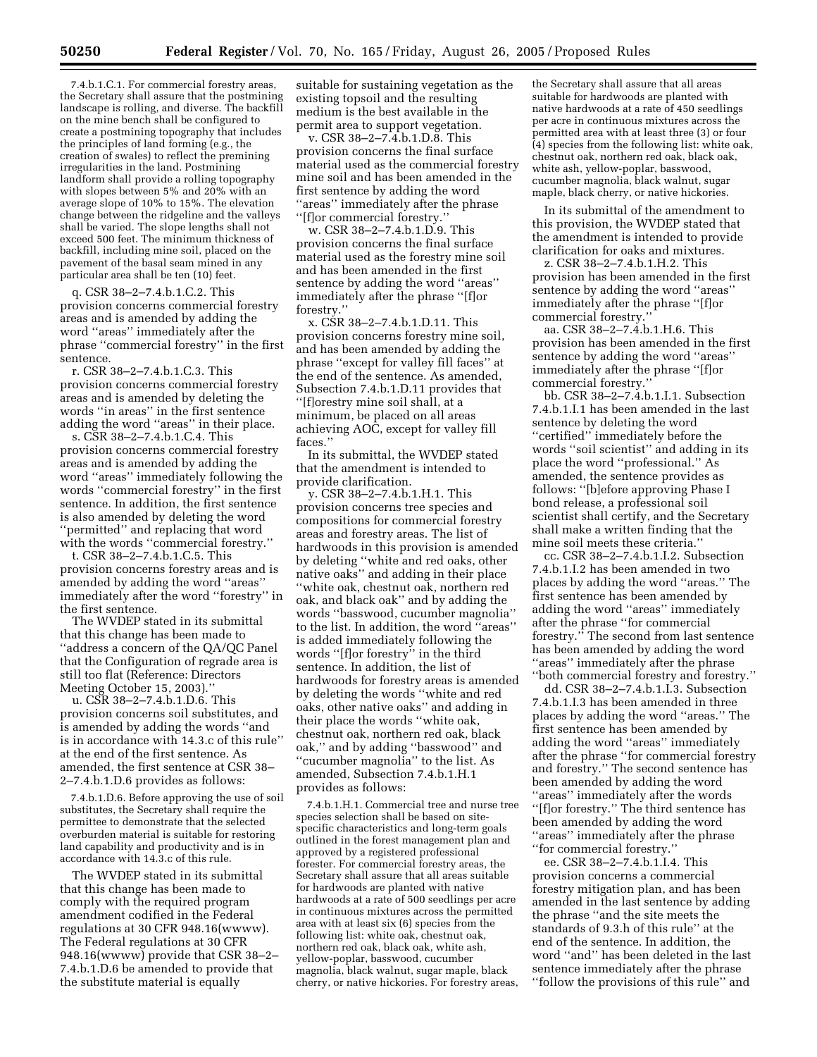7.4.b.1.C.1. For commercial forestry areas, the Secretary shall assure that the postmining landscape is rolling, and diverse. The backfill on the mine bench shall be configured to create a postmining topography that includes the principles of land forming (e.g., the creation of swales) to reflect the premining irregularities in the land. Postmining landform shall provide a rolling topography with slopes between 5% and 20% with an average slope of 10% to 15%. The elevation change between the ridgeline and the valleys shall be varied. The slope lengths shall not exceed 500 feet. The minimum thickness of backfill, including mine soil, placed on the pavement of the basal seam mined in any particular area shall be ten (10) feet.

q. CSR 38–2–7.4.b.1.C.2. This provision concerns commercial forestry areas and is amended by adding the word ''areas'' immediately after the phrase ''commercial forestry'' in the first sentence.

r. CSR 38–2–7.4.b.1.C.3. This provision concerns commercial forestry areas and is amended by deleting the words ''in areas'' in the first sentence adding the word ''areas'' in their place.

s. CSR 38–2–7.4.b.1.C.4. This provision concerns commercial forestry areas and is amended by adding the word ''areas'' immediately following the words ''commercial forestry'' in the first sentence. In addition, the first sentence is also amended by deleting the word ''permitted'' and replacing that word with the words "commercial forestry."

t. CSR 38–2–7.4.b.1.C.5. This provision concerns forestry areas and is amended by adding the word ''areas'' immediately after the word ''forestry'' in the first sentence.

The WVDEP stated in its submittal that this change has been made to ''address a concern of the QA/QC Panel that the Configuration of regrade area is still too flat (Reference: Directors Meeting October 15, 2003).''

u. CSR 38–2–7.4.b.1.D.6. This provision concerns soil substitutes, and is amended by adding the words ''and is in accordance with 14.3.c of this rule'' at the end of the first sentence. As amended, the first sentence at CSR 38– 2–7.4.b.1.D.6 provides as follows:

7.4.b.1.D.6. Before approving the use of soil substitutes, the Secretary shall require the permittee to demonstrate that the selected overburden material is suitable for restoring land capability and productivity and is in accordance with 14.3.c of this rule.

The WVDEP stated in its submittal that this change has been made to comply with the required program amendment codified in the Federal regulations at 30 CFR 948.16(wwww). The Federal regulations at 30 CFR 948.16(wwww) provide that CSR 38–2– 7.4.b.1.D.6 be amended to provide that the substitute material is equally

suitable for sustaining vegetation as the existing topsoil and the resulting medium is the best available in the permit area to support vegetation.

v. CSR 38–2–7.4.b.1.D.8. This provision concerns the final surface material used as the commercial forestry mine soil and has been amended in the first sentence by adding the word ''areas'' immediately after the phrase ''[f]or commercial forestry.''

w. CSR 38–2–7.4.b.1.D.9. This provision concerns the final surface material used as the forestry mine soil and has been amended in the first sentence by adding the word ''areas'' immediately after the phrase ''[f]or forestry.'

x. CSR 38–2–7.4.b.1.D.11. This provision concerns forestry mine soil, and has been amended by adding the phrase ''except for valley fill faces'' at the end of the sentence. As amended, Subsection 7.4.b.1.D.11 provides that ''[f]orestry mine soil shall, at a minimum, be placed on all areas achieving AOC, except for valley fill faces.''

In its submittal, the WVDEP stated that the amendment is intended to provide clarification.

y. CSR 38–2–7.4.b.1.H.1. This provision concerns tree species and compositions for commercial forestry areas and forestry areas. The list of hardwoods in this provision is amended by deleting ''white and red oaks, other native oaks'' and adding in their place ''white oak, chestnut oak, northern red oak, and black oak'' and by adding the words ''basswood, cucumber magnolia'' to the list. In addition, the word ''areas'' is added immediately following the words ''[f]or forestry'' in the third sentence. In addition, the list of hardwoods for forestry areas is amended by deleting the words ''white and red oaks, other native oaks'' and adding in their place the words ''white oak, chestnut oak, northern red oak, black oak,'' and by adding ''basswood'' and ''cucumber magnolia'' to the list. As amended, Subsection 7.4.b.1.H.1 provides as follows:

7.4.b.1.H.1. Commercial tree and nurse tree species selection shall be based on sitespecific characteristics and long-term goals outlined in the forest management plan and approved by a registered professional forester. For commercial forestry areas, the Secretary shall assure that all areas suitable for hardwoods are planted with native hardwoods at a rate of 500 seedlings per acre in continuous mixtures across the permitted area with at least six (6) species from the following list: white oak, chestnut oak, northern red oak, black oak, white ash, yellow-poplar, basswood, cucumber magnolia, black walnut, sugar maple, black cherry, or native hickories. For forestry areas,

the Secretary shall assure that all areas suitable for hardwoods are planted with native hardwoods at a rate of 450 seedlings per acre in continuous mixtures across the permitted area with at least three (3) or four (4) species from the following list: white oak, chestnut oak, northern red oak, black oak, white ash, yellow-poplar, basswood, cucumber magnolia, black walnut, sugar maple, black cherry, or native hickories.

In its submittal of the amendment to this provision, the WVDEP stated that the amendment is intended to provide clarification for oaks and mixtures.

z. CSR 38–2–7.4.b.1.H.2. This provision has been amended in the first sentence by adding the word ''areas'' immediately after the phrase ''[f]or commercial forestry.''

aa. CSR 38–2–7.4.b.1.H.6. This provision has been amended in the first sentence by adding the word ''areas'' immediately after the phrase ''[f]or commercial forestry.''

bb. CSR 38–2–7.4.b.1.I.1. Subsection 7.4.b.1.I.1 has been amended in the last sentence by deleting the word ''certified'' immediately before the words ''soil scientist'' and adding in its place the word ''professional.'' As amended, the sentence provides as follows: ''[b]efore approving Phase I bond release, a professional soil scientist shall certify, and the Secretary shall make a written finding that the mine soil meets these criteria.''

cc. CSR 38–2–7.4.b.1.I.2. Subsection 7.4.b.1.I.2 has been amended in two places by adding the word ''areas.'' The first sentence has been amended by adding the word ''areas'' immediately after the phrase ''for commercial forestry.'' The second from last sentence has been amended by adding the word ''areas'' immediately after the phrase ''both commercial forestry and forestry.''

dd. CSR 38–2–7.4.b.1.I.3. Subsection 7.4.b.1.I.3 has been amended in three places by adding the word ''areas.'' The first sentence has been amended by adding the word ''areas'' immediately after the phrase ''for commercial forestry and forestry.'' The second sentence has been amended by adding the word ''areas'' immediately after the words ''[f]or forestry.'' The third sentence has been amended by adding the word ''areas'' immediately after the phrase ''for commercial forestry.''

ee. CSR 38–2–7.4.b.1.I.4. This provision concerns a commercial forestry mitigation plan, and has been amended in the last sentence by adding the phrase ''and the site meets the standards of 9.3.h of this rule'' at the end of the sentence. In addition, the word ''and'' has been deleted in the last sentence immediately after the phrase ''follow the provisions of this rule'' and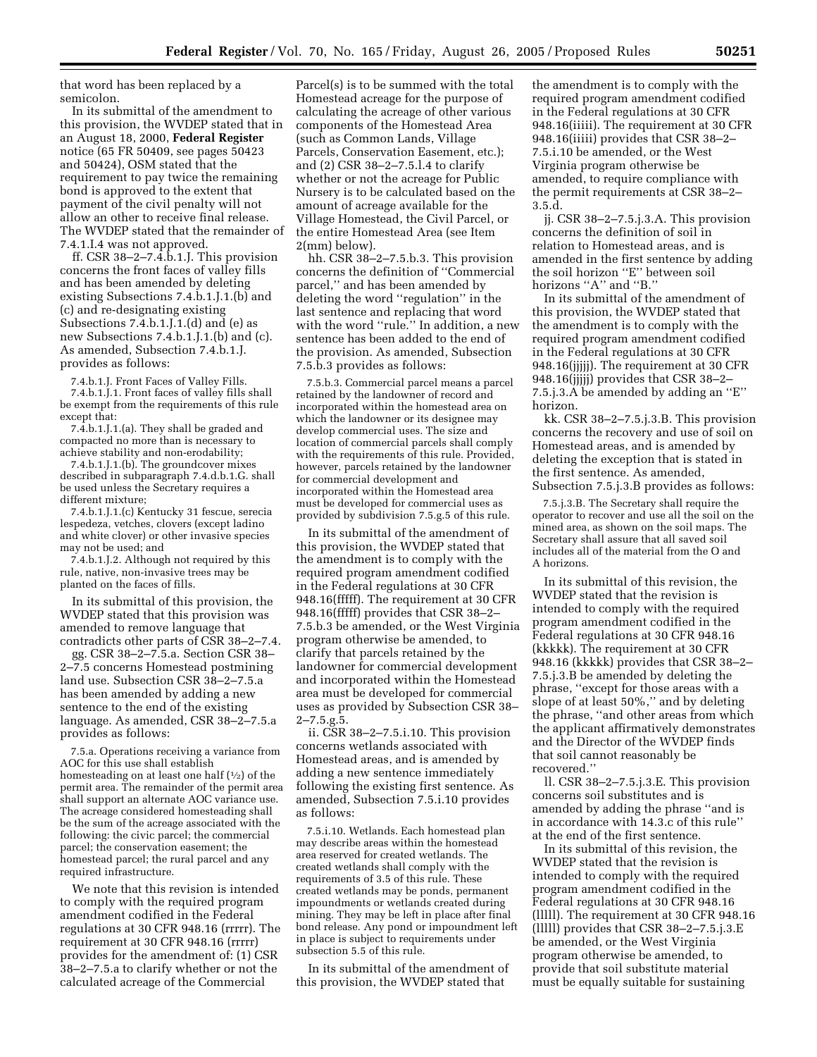that word has been replaced by a semicolon.

In its submittal of the amendment to this provision, the WVDEP stated that in an August 18, 2000, **Federal Register** notice (65 FR 50409, see pages 50423 and 50424), OSM stated that the requirement to pay twice the remaining bond is approved to the extent that payment of the civil penalty will not allow an other to receive final release. The WVDEP stated that the remainder of 7.4.1.I.4 was not approved.

ff. CSR 38–2–7.4.b.1.J. This provision concerns the front faces of valley fills and has been amended by deleting existing Subsections 7.4.b.1.J.1.(b) and (c) and re-designating existing Subsections 7.4.b.1.J.1.(d) and (e) as new Subsections 7.4.b.1.J.1.(b) and (c). As amended, Subsection 7.4.b.1.J. provides as follows:

7.4.b.1.J. Front Faces of Valley Fills. 7.4.b.1.J.1. Front faces of valley fills shall be exempt from the requirements of this rule except that:

7.4.b.1.J.1.(a). They shall be graded and compacted no more than is necessary to achieve stability and non-erodability;

7.4.b.1.J.1.(b). The groundcover mixes described in subparagraph 7.4.d.b.1.G. shall be used unless the Secretary requires a different mixture;

7.4.b.1.J.1.(c) Kentucky 31 fescue, serecia lespedeza, vetches, clovers (except ladino and white clover) or other invasive species may not be used; and

7.4.b.1.J.2. Although not required by this rule, native, non-invasive trees may be planted on the faces of fills.

In its submittal of this provision, the WVDEP stated that this provision was amended to remove language that contradicts other parts of CSR 38–2–7.4.

gg. CSR 38–2–7.5.a. Section CSR 38– 2–7.5 concerns Homestead postmining land use. Subsection CSR 38–2–7.5.a has been amended by adding a new sentence to the end of the existing language. As amended, CSR 38–2–7.5.a provides as follows:

7.5.a. Operations receiving a variance from AOC for this use shall establish homesteading on at least one half  $(1/2)$  of the permit area. The remainder of the permit area shall support an alternate AOC variance use. The acreage considered homesteading shall be the sum of the acreage associated with the following: the civic parcel; the commercial parcel; the conservation easement; the homestead parcel; the rural parcel and any required infrastructure.

We note that this revision is intended to comply with the required program amendment codified in the Federal regulations at 30 CFR 948.16 (rrrrr). The requirement at 30 CFR 948.16 (rrrrr) provides for the amendment of: (1) CSR 38–2–7.5.a to clarify whether or not the calculated acreage of the Commercial

Parcel(s) is to be summed with the total Homestead acreage for the purpose of calculating the acreage of other various components of the Homestead Area (such as Common Lands, Village Parcels, Conservation Easement, etc.); and (2) CSR 38–2–7.5.l.4 to clarify whether or not the acreage for Public Nursery is to be calculated based on the amount of acreage available for the Village Homestead, the Civil Parcel, or the entire Homestead Area (see Item 2(mm) below).

hh. CSR 38–2–7.5.b.3. This provision concerns the definition of ''Commercial parcel,'' and has been amended by deleting the word ''regulation'' in the last sentence and replacing that word with the word ''rule.'' In addition, a new sentence has been added to the end of the provision. As amended, Subsection 7.5.b.3 provides as follows:

7.5.b.3. Commercial parcel means a parcel retained by the landowner of record and incorporated within the homestead area on which the landowner or its designee may develop commercial uses. The size and location of commercial parcels shall comply with the requirements of this rule. Provided, however, parcels retained by the landowner for commercial development and incorporated within the Homestead area must be developed for commercial uses as provided by subdivision 7.5.g.5 of this rule.

In its submittal of the amendment of this provision, the WVDEP stated that the amendment is to comply with the required program amendment codified in the Federal regulations at 30 CFR 948.16(fffff). The requirement at 30 CFR 948.16(fffff) provides that CSR 38–2– 7.5.b.3 be amended, or the West Virginia program otherwise be amended, to clarify that parcels retained by the landowner for commercial development and incorporated within the Homestead area must be developed for commercial uses as provided by Subsection CSR 38– 2–7.5.g.5.

ii. CSR 38–2–7.5.i.10. This provision concerns wetlands associated with Homestead areas, and is amended by adding a new sentence immediately following the existing first sentence. As amended, Subsection 7.5.i.10 provides as follows:

7.5.i.10. Wetlands. Each homestead plan may describe areas within the homestead area reserved for created wetlands. The created wetlands shall comply with the requirements of 3.5 of this rule. These created wetlands may be ponds, permanent impoundments or wetlands created during mining. They may be left in place after final bond release. Any pond or impoundment left in place is subject to requirements under subsection 5.5 of this rule.

In its submittal of the amendment of this provision, the WVDEP stated that

the amendment is to comply with the required program amendment codified in the Federal regulations at 30 CFR 948.16(iiiii). The requirement at 30 CFR 948.16(iiiii) provides that CSR 38–2– 7.5.i.10 be amended, or the West Virginia program otherwise be amended, to require compliance with the permit requirements at CSR 38–2– 3.5.d.

jj. CSR 38–2–7.5.j.3.A. This provision concerns the definition of soil in relation to Homestead areas, and is amended in the first sentence by adding the soil horizon ''E'' between soil horizons "A" and "B."

In its submittal of the amendment of this provision, the WVDEP stated that the amendment is to comply with the required program amendment codified in the Federal regulations at 30 CFR 948.16(jjjjj). The requirement at 30 CFR 948.16(jjjjj) provides that CSR 38–2– 7.5.j.3.A be amended by adding an ''E'' horizon.

kk. CSR 38–2–7.5.j.3.B. This provision concerns the recovery and use of soil on Homestead areas, and is amended by deleting the exception that is stated in the first sentence. As amended, Subsection 7.5.j.3.B provides as follows:

7.5.j.3.B. The Secretary shall require the operator to recover and use all the soil on the mined area, as shown on the soil maps. The Secretary shall assure that all saved soil includes all of the material from the O and A horizons.

In its submittal of this revision, the WVDEP stated that the revision is intended to comply with the required program amendment codified in the Federal regulations at 30 CFR 948.16 (kkkkk). The requirement at 30 CFR 948.16 (kkkkk) provides that CSR 38–2– 7.5.j.3.B be amended by deleting the phrase, ''except for those areas with a slope of at least 50%,'' and by deleting the phrase, ''and other areas from which the applicant affirmatively demonstrates and the Director of the WVDEP finds that soil cannot reasonably be recovered.''

ll. CSR 38–2–7.5.j.3.E. This provision concerns soil substitutes and is amended by adding the phrase ''and is in accordance with 14.3.c of this rule'' at the end of the first sentence.

In its submittal of this revision, the WVDEP stated that the revision is intended to comply with the required program amendment codified in the Federal regulations at 30 CFR 948.16 (lllll). The requirement at 30 CFR 948.16 (lllll) provides that CSR 38–2–7.5.j.3.E be amended, or the West Virginia program otherwise be amended, to provide that soil substitute material must be equally suitable for sustaining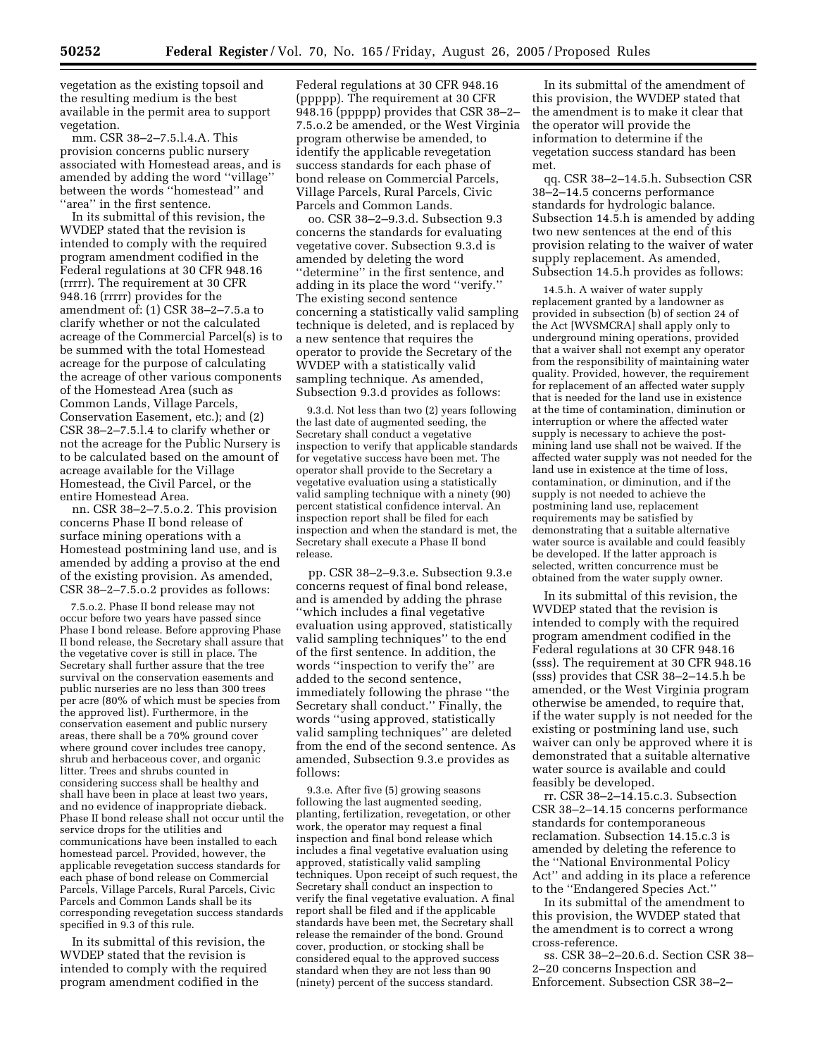vegetation as the existing topsoil and the resulting medium is the best available in the permit area to support vegetation.

mm. CSR 38–2–7.5.l.4.A. This provision concerns public nursery associated with Homestead areas, and is amended by adding the word ''village'' between the words ''homestead'' and ''area'' in the first sentence.

In its submittal of this revision, the WVDEP stated that the revision is intended to comply with the required program amendment codified in the Federal regulations at 30 CFR 948.16 (rrrrr). The requirement at 30 CFR 948.16 (rrrrr) provides for the amendment of: (1) CSR 38–2–7.5.a to clarify whether or not the calculated acreage of the Commercial Parcel(s) is to be summed with the total Homestead acreage for the purpose of calculating the acreage of other various components of the Homestead Area (such as Common Lands, Village Parcels, Conservation Easement, etc.); and (2) CSR 38–2–7.5.l.4 to clarify whether or not the acreage for the Public Nursery is to be calculated based on the amount of acreage available for the Village Homestead, the Civil Parcel, or the entire Homestead Area.

nn. CSR 38–2–7.5.o.2. This provision concerns Phase II bond release of surface mining operations with a Homestead postmining land use, and is amended by adding a proviso at the end of the existing provision. As amended, CSR 38–2–7.5.o.2 provides as follows:

7.5.o.2. Phase II bond release may not occur before two years have passed since Phase I bond release. Before approving Phase II bond release, the Secretary shall assure that the vegetative cover is still in place. The Secretary shall further assure that the tree survival on the conservation easements and public nurseries are no less than 300 trees per acre (80% of which must be species from the approved list). Furthermore, in the conservation easement and public nursery areas, there shall be a 70% ground cover where ground cover includes tree canopy, shrub and herbaceous cover, and organic litter. Trees and shrubs counted in considering success shall be healthy and shall have been in place at least two years, and no evidence of inappropriate dieback. Phase II bond release shall not occur until the service drops for the utilities and communications have been installed to each homestead parcel. Provided, however, the applicable revegetation success standards for each phase of bond release on Commercial Parcels, Village Parcels, Rural Parcels, Civic Parcels and Common Lands shall be its corresponding revegetation success standards specified in 9.3 of this rule.

In its submittal of this revision, the WVDEP stated that the revision is intended to comply with the required program amendment codified in the

Federal regulations at 30 CFR 948.16 (ppppp). The requirement at 30 CFR 948.16 (ppppp) provides that CSR 38–2– 7.5.o.2 be amended, or the West Virginia program otherwise be amended, to identify the applicable revegetation success standards for each phase of bond release on Commercial Parcels, Village Parcels, Rural Parcels, Civic Parcels and Common Lands.

oo. CSR 38–2–9.3.d. Subsection 9.3 concerns the standards for evaluating vegetative cover. Subsection 9.3.d is amended by deleting the word ''determine'' in the first sentence, and adding in its place the word ''verify.'' The existing second sentence concerning a statistically valid sampling technique is deleted, and is replaced by a new sentence that requires the operator to provide the Secretary of the WVDEP with a statistically valid sampling technique. As amended, Subsection 9.3.d provides as follows:

9.3.d. Not less than two (2) years following the last date of augmented seeding, the Secretary shall conduct a vegetative inspection to verify that applicable standards for vegetative success have been met. The operator shall provide to the Secretary a vegetative evaluation using a statistically valid sampling technique with a ninety (90) percent statistical confidence interval. An inspection report shall be filed for each inspection and when the standard is met, the Secretary shall execute a Phase II bond release.

pp. CSR 38–2–9.3.e. Subsection 9.3.e concerns request of final bond release, and is amended by adding the phrase ''which includes a final vegetative evaluation using approved, statistically valid sampling techniques'' to the end of the first sentence. In addition, the words ''inspection to verify the'' are added to the second sentence, immediately following the phrase ''the Secretary shall conduct.'' Finally, the words ''using approved, statistically valid sampling techniques'' are deleted from the end of the second sentence. As amended, Subsection 9.3.e provides as follows:

9.3.e. After five (5) growing seasons following the last augmented seeding, planting, fertilization, revegetation, or other work, the operator may request a final inspection and final bond release which includes a final vegetative evaluation using approved, statistically valid sampling techniques. Upon receipt of such request, the Secretary shall conduct an inspection to verify the final vegetative evaluation. A final report shall be filed and if the applicable standards have been met, the Secretary shall release the remainder of the bond. Ground cover, production, or stocking shall be considered equal to the approved success standard when they are not less than 90 (ninety) percent of the success standard.

In its submittal of the amendment of this provision, the WVDEP stated that the amendment is to make it clear that the operator will provide the information to determine if the vegetation success standard has been met.

qq. CSR 38–2–14.5.h. Subsection CSR 38–2–14.5 concerns performance standards for hydrologic balance. Subsection 14.5.h is amended by adding two new sentences at the end of this provision relating to the waiver of water supply replacement. As amended, Subsection 14.5.h provides as follows:

14.5.h. A waiver of water supply replacement granted by a landowner as provided in subsection (b) of section 24 of the Act [WVSMCRA] shall apply only to underground mining operations, provided that a waiver shall not exempt any operator from the responsibility of maintaining water quality. Provided, however, the requirement for replacement of an affected water supply that is needed for the land use in existence at the time of contamination, diminution or interruption or where the affected water supply is necessary to achieve the postmining land use shall not be waived. If the affected water supply was not needed for the land use in existence at the time of loss, contamination, or diminution, and if the supply is not needed to achieve the postmining land use, replacement requirements may be satisfied by demonstrating that a suitable alternative water source is available and could feasibly be developed. If the latter approach is selected, written concurrence must be obtained from the water supply owner.

In its submittal of this revision, the WVDEP stated that the revision is intended to comply with the required program amendment codified in the Federal regulations at 30 CFR 948.16 (sss). The requirement at 30 CFR 948.16 (sss) provides that CSR 38–2–14.5.h be amended, or the West Virginia program otherwise be amended, to require that, if the water supply is not needed for the existing or postmining land use, such waiver can only be approved where it is demonstrated that a suitable alternative water source is available and could feasibly be developed.

rr. CSR 38–2–14.15.c.3. Subsection CSR 38–2–14.15 concerns performance standards for contemporaneous reclamation. Subsection 14.15.c.3 is amended by deleting the reference to the ''National Environmental Policy Act'' and adding in its place a reference to the ''Endangered Species Act.''

In its submittal of the amendment to this provision, the WVDEP stated that the amendment is to correct a wrong cross-reference.

ss. CSR 38–2–20.6.d. Section CSR 38– 2–20 concerns Inspection and Enforcement. Subsection CSR 38–2–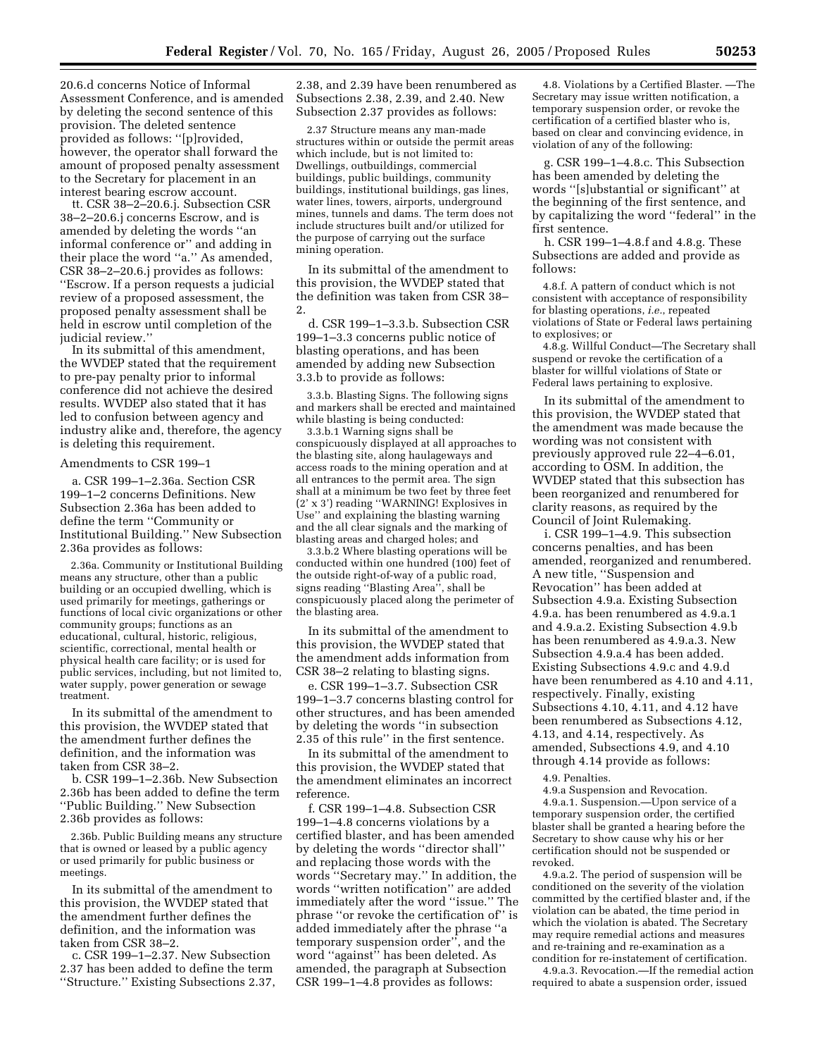20.6.d concerns Notice of Informal Assessment Conference, and is amended by deleting the second sentence of this provision. The deleted sentence provided as follows: ''[p]rovided, however, the operator shall forward the amount of proposed penalty assessment to the Secretary for placement in an interest bearing escrow account.

tt. CSR 38–2–20.6.j. Subsection CSR 38–2–20.6.j concerns Escrow, and is amended by deleting the words ''an informal conference or'' and adding in their place the word ''a.'' As amended, CSR 38–2–20.6.j provides as follows: ''Escrow. If a person requests a judicial review of a proposed assessment, the proposed penalty assessment shall be held in escrow until completion of the judicial review.''

In its submittal of this amendment, the WVDEP stated that the requirement to pre-pay penalty prior to informal conference did not achieve the desired results. WVDEP also stated that it has led to confusion between agency and industry alike and, therefore, the agency is deleting this requirement.

#### Amendments to CSR 199–1

a. CSR 199–1–2.36a. Section CSR 199–1–2 concerns Definitions. New Subsection 2.36a has been added to define the term ''Community or Institutional Building.'' New Subsection 2.36a provides as follows:

2.36a. Community or Institutional Building means any structure, other than a public building or an occupied dwelling, which is used primarily for meetings, gatherings or functions of local civic organizations or other community groups; functions as an educational, cultural, historic, religious, scientific, correctional, mental health or physical health care facility; or is used for public services, including, but not limited to, water supply, power generation or sewage treatment.

In its submittal of the amendment to this provision, the WVDEP stated that the amendment further defines the definition, and the information was taken from CSR 38–2.

b. CSR 199–1–2.36b. New Subsection 2.36b has been added to define the term ''Public Building.'' New Subsection 2.36b provides as follows:

2.36b. Public Building means any structure that is owned or leased by a public agency or used primarily for public business or meetings.

In its submittal of the amendment to this provision, the WVDEP stated that the amendment further defines the definition, and the information was taken from CSR 38–2.

c. CSR 199–1–2.37. New Subsection 2.37 has been added to define the term ''Structure.'' Existing Subsections 2.37,

2.38, and 2.39 have been renumbered as Subsections 2.38, 2.39, and 2.40. New Subsection 2.37 provides as follows:

2.37 Structure means any man-made structures within or outside the permit areas which include, but is not limited to: Dwellings, outbuildings, commercial buildings, public buildings, community buildings, institutional buildings, gas lines, water lines, towers, airports, underground mines, tunnels and dams. The term does not include structures built and/or utilized for the purpose of carrying out the surface mining operation.

In its submittal of the amendment to this provision, the WVDEP stated that the definition was taken from CSR 38– 2.

d. CSR 199–1–3.3.b. Subsection CSR 199–1–3.3 concerns public notice of blasting operations, and has been amended by adding new Subsection 3.3.b to provide as follows:

3.3.b. Blasting Signs. The following signs and markers shall be erected and maintained while blasting is being conducted:

3.3.b.1 Warning signs shall be conspicuously displayed at all approaches to the blasting site, along haulageways and access roads to the mining operation and at all entrances to the permit area. The sign shall at a minimum be two feet by three feet (2' x 3') reading ''WARNING! Explosives in Use'' and explaining the blasting warning and the all clear signals and the marking of blasting areas and charged holes; and

3.3.b.2 Where blasting operations will be conducted within one hundred (100) feet of the outside right-of-way of a public road, signs reading ''Blasting Area'', shall be conspicuously placed along the perimeter of the blasting area.

In its submittal of the amendment to this provision, the WVDEP stated that the amendment adds information from CSR 38–2 relating to blasting signs.

e. CSR 199–1–3.7. Subsection CSR 199–1–3.7 concerns blasting control for other structures, and has been amended by deleting the words ''in subsection 2.35 of this rule'' in the first sentence.

In its submittal of the amendment to this provision, the WVDEP stated that the amendment eliminates an incorrect reference.

f. CSR 199–1–4.8. Subsection CSR 199–1–4.8 concerns violations by a certified blaster, and has been amended by deleting the words ''director shall'' and replacing those words with the words ''Secretary may.'' In addition, the words ''written notification'' are added immediately after the word ''issue.'' The phrase ''or revoke the certification of'' is added immediately after the phrase ''a temporary suspension order'', and the word ''against'' has been deleted. As amended, the paragraph at Subsection CSR 199–1–4.8 provides as follows:

4.8. Violations by a Certified Blaster. —The Secretary may issue written notification, a temporary suspension order, or revoke the certification of a certified blaster who is, based on clear and convincing evidence, in violation of any of the following:

g. CSR 199–1–4.8.c. This Subsection has been amended by deleting the words ''[s]ubstantial or significant'' at the beginning of the first sentence, and by capitalizing the word ''federal'' in the first sentence.

h. CSR 199–1–4.8.f and 4.8.g. These Subsections are added and provide as follows:

4.8.f. A pattern of conduct which is not consistent with acceptance of responsibility for blasting operations, *i.e.*, repeated violations of State or Federal laws pertaining to explosives; or

4.8.g. Willful Conduct—The Secretary shall suspend or revoke the certification of a blaster for willful violations of State or Federal laws pertaining to explosive.

In its submittal of the amendment to this provision, the WVDEP stated that the amendment was made because the wording was not consistent with previously approved rule 22–4–6.01, according to OSM. In addition, the WVDEP stated that this subsection has been reorganized and renumbered for clarity reasons, as required by the Council of Joint Rulemaking.

i. CSR 199–1–4.9. This subsection concerns penalties, and has been amended, reorganized and renumbered. A new title, ''Suspension and Revocation'' has been added at Subsection 4.9.a. Existing Subsection 4.9.a. has been renumbered as 4.9.a.1 and 4.9.a.2. Existing Subsection 4.9.b has been renumbered as 4.9.a.3. New Subsection 4.9.a.4 has been added. Existing Subsections 4.9.c and 4.9.d have been renumbered as 4.10 and 4.11, respectively. Finally, existing Subsections 4.10, 4.11, and 4.12 have been renumbered as Subsections 4.12, 4.13, and 4.14, respectively. As amended, Subsections 4.9, and 4.10 through 4.14 provide as follows:

4.9. Penalties.

4.9.a Suspension and Revocation. 4.9.a.1. Suspension.—Upon service of a temporary suspension order, the certified blaster shall be granted a hearing before the Secretary to show cause why his or her certification should not be suspended or revoked.

4.9.a.2. The period of suspension will be conditioned on the severity of the violation committed by the certified blaster and, if the violation can be abated, the time period in which the violation is abated. The Secretary may require remedial actions and measures and re-training and re-examination as a condition for re-instatement of certification.

4.9.a.3. Revocation.—If the remedial action required to abate a suspension order, issued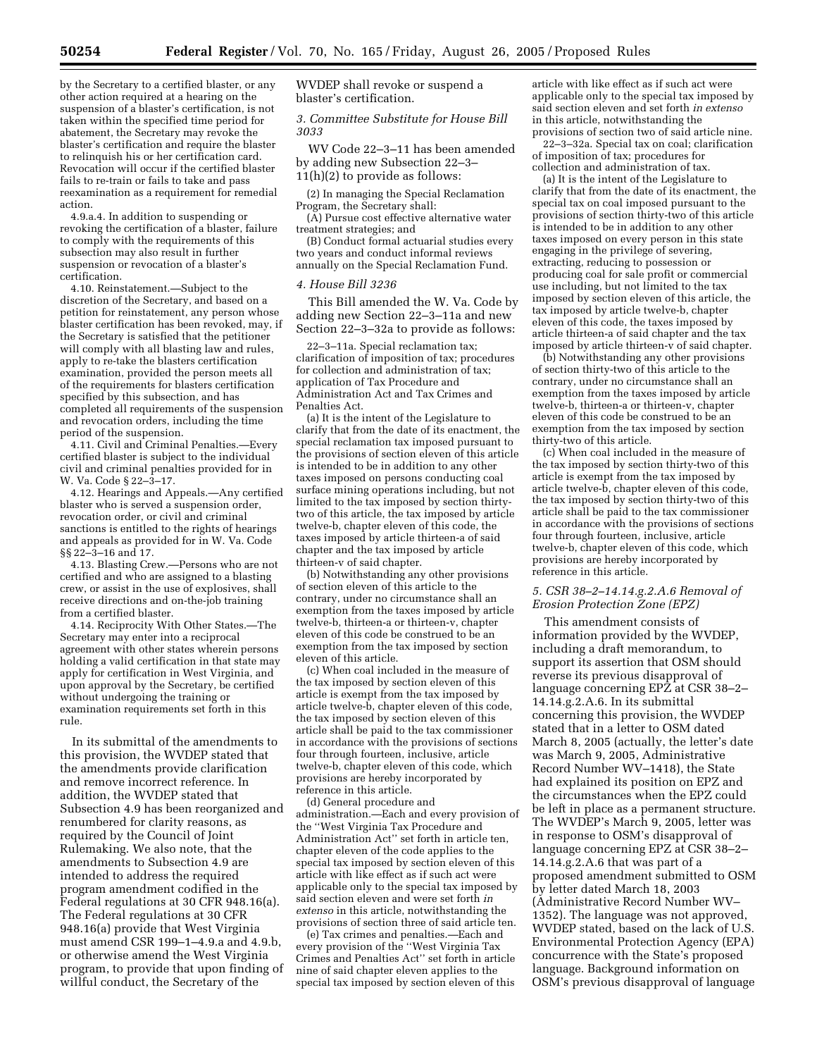by the Secretary to a certified blaster, or any other action required at a hearing on the suspension of a blaster's certification, is not taken within the specified time period for abatement, the Secretary may revoke the blaster's certification and require the blaster to relinquish his or her certification card. Revocation will occur if the certified blaster fails to re-train or fails to take and pass reexamination as a requirement for remedial action.

4.9.a.4. In addition to suspending or revoking the certification of a blaster, failure to comply with the requirements of this subsection may also result in further suspension or revocation of a blaster's certification.

4.10. Reinstatement.—Subject to the discretion of the Secretary, and based on a petition for reinstatement, any person whose blaster certification has been revoked, may, if the Secretary is satisfied that the petitioner will comply with all blasting law and rules, apply to re-take the blasters certification examination, provided the person meets all of the requirements for blasters certification specified by this subsection, and has completed all requirements of the suspension and revocation orders, including the time period of the suspension.

4.11. Civil and Criminal Penalties.—Every certified blaster is subject to the individual civil and criminal penalties provided for in W. Va. Code § 22–3–17.

4.12. Hearings and Appeals.—Any certified blaster who is served a suspension order, revocation order, or civil and criminal sanctions is entitled to the rights of hearings and appeals as provided for in W. Va. Code §§ 22–3–16 and 17.

4.13. Blasting Crew.—Persons who are not certified and who are assigned to a blasting crew, or assist in the use of explosives, shall receive directions and on-the-job training from a certified blaster.

4.14. Reciprocity With Other States.—The Secretary may enter into a reciprocal agreement with other states wherein persons holding a valid certification in that state may apply for certification in West Virginia, and upon approval by the Secretary, be certified without undergoing the training or examination requirements set forth in this rule.

In its submittal of the amendments to this provision, the WVDEP stated that the amendments provide clarification and remove incorrect reference. In addition, the WVDEP stated that Subsection 4.9 has been reorganized and renumbered for clarity reasons, as required by the Council of Joint Rulemaking. We also note, that the amendments to Subsection 4.9 are intended to address the required program amendment codified in the Federal regulations at 30 CFR 948.16(a). The Federal regulations at 30 CFR 948.16(a) provide that West Virginia must amend CSR 199–1–4.9.a and 4.9.b, or otherwise amend the West Virginia program, to provide that upon finding of willful conduct, the Secretary of the

WVDEP shall revoke or suspend a blaster's certification.

*3. Committee Substitute for House Bill 3033* 

WV Code 22–3–11 has been amended by adding new Subsection 22–3– 11(h)(2) to provide as follows:

(2) In managing the Special Reclamation Program, the Secretary shall:

(A) Pursue cost effective alternative water treatment strategies; and

(B) Conduct formal actuarial studies every two years and conduct informal reviews annually on the Special Reclamation Fund.

### *4. House Bill 3236*

This Bill amended the W. Va. Code by adding new Section 22–3–11a and new Section 22–3–32a to provide as follows:

22–3–11a. Special reclamation tax; clarification of imposition of tax; procedures for collection and administration of tax; application of Tax Procedure and Administration Act and Tax Crimes and Penalties Act.

(a) It is the intent of the Legislature to clarify that from the date of its enactment, the special reclamation tax imposed pursuant to the provisions of section eleven of this article is intended to be in addition to any other taxes imposed on persons conducting coal surface mining operations including, but not limited to the tax imposed by section thirtytwo of this article, the tax imposed by article twelve-b, chapter eleven of this code, the taxes imposed by article thirteen-a of said chapter and the tax imposed by article thirteen-v of said chapter.

(b) Notwithstanding any other provisions of section eleven of this article to the contrary, under no circumstance shall an exemption from the taxes imposed by article twelve-b, thirteen-a or thirteen-v, chapter eleven of this code be construed to be an exemption from the tax imposed by section eleven of this article.

(c) When coal included in the measure of the tax imposed by section eleven of this article is exempt from the tax imposed by article twelve-b, chapter eleven of this code, the tax imposed by section eleven of this article shall be paid to the tax commissioner in accordance with the provisions of sections four through fourteen, inclusive, article twelve-b, chapter eleven of this code, which provisions are hereby incorporated by reference in this article.

(d) General procedure and administration.—Each and every provision of the ''West Virginia Tax Procedure and Administration Act'' set forth in article ten, chapter eleven of the code applies to the special tax imposed by section eleven of this article with like effect as if such act were applicable only to the special tax imposed by said section eleven and were set forth *in extenso* in this article, notwithstanding the provisions of section three of said article ten.

(e) Tax crimes and penalties.—Each and every provision of the ''West Virginia Tax Crimes and Penalties Act'' set forth in article nine of said chapter eleven applies to the special tax imposed by section eleven of this

article with like effect as if such act were applicable only to the special tax imposed by said section eleven and set forth *in extenso* in this article, notwithstanding the provisions of section two of said article nine.

22–3–32a. Special tax on coal; clarification of imposition of tax; procedures for collection and administration of tax.

(a) It is the intent of the Legislature to clarify that from the date of its enactment, the special tax on coal imposed pursuant to the provisions of section thirty-two of this article is intended to be in addition to any other taxes imposed on every person in this state engaging in the privilege of severing, extracting, reducing to possession or producing coal for sale profit or commercial use including, but not limited to the tax imposed by section eleven of this article, the tax imposed by article twelve-b, chapter eleven of this code, the taxes imposed by article thirteen-a of said chapter and the tax imposed by article thirteen-v of said chapter.

(b) Notwithstanding any other provisions of section thirty-two of this article to the contrary, under no circumstance shall an exemption from the taxes imposed by article twelve-b, thirteen-a or thirteen-v, chapter eleven of this code be construed to be an exemption from the tax imposed by section thirty-two of this article.

(c) When coal included in the measure of the tax imposed by section thirty-two of this article is exempt from the tax imposed by article twelve-b, chapter eleven of this code, the tax imposed by section thirty-two of this article shall be paid to the tax commissioner in accordance with the provisions of sections four through fourteen, inclusive, article twelve-b, chapter eleven of this code, which provisions are hereby incorporated by reference in this article.

### *5. CSR 38–2–14.14.g.2.A.6 Removal of Erosion Protection Zone (EPZ)*

This amendment consists of information provided by the WVDEP, including a draft memorandum, to support its assertion that OSM should reverse its previous disapproval of language concerning EPZ at CSR 38–2– 14.14.g.2.A.6. In its submittal concerning this provision, the WVDEP stated that in a letter to OSM dated March 8, 2005 (actually, the letter's date was March 9, 2005, Administrative Record Number WV–1418), the State had explained its position on EPZ and the circumstances when the EPZ could be left in place as a permanent structure. The WVDEP's March 9, 2005, letter was in response to OSM's disapproval of language concerning EPZ at CSR 38–2– 14.14.g.2.A.6 that was part of a proposed amendment submitted to OSM by letter dated March 18, 2003 (Administrative Record Number WV– 1352). The language was not approved, WVDEP stated, based on the lack of U.S. Environmental Protection Agency (EPA) concurrence with the State's proposed language. Background information on OSM's previous disapproval of language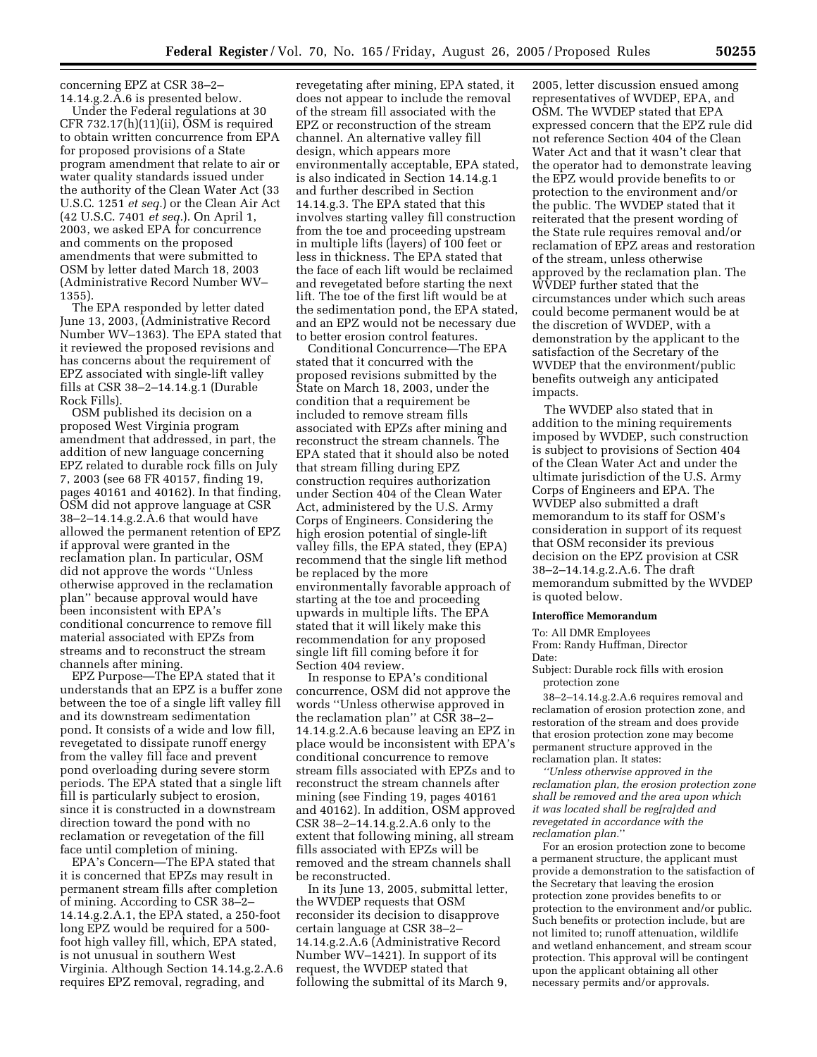Under the Federal regulations at 30 CFR 732.17(h)(11)(ii), OSM is required to obtain written concurrence from EPA for proposed provisions of a State program amendment that relate to air or water quality standards issued under the authority of the Clean Water Act (33 U.S.C. 1251 *et seq.*) or the Clean Air Act (42 U.S.C. 7401 *et seq.*). On April 1, 2003, we asked EPA for concurrence and comments on the proposed amendments that were submitted to OSM by letter dated March 18, 2003 (Administrative Record Number WV– 1355).

The EPA responded by letter dated June 13, 2003, (Administrative Record Number WV–1363). The EPA stated that it reviewed the proposed revisions and has concerns about the requirement of EPZ associated with single-lift valley fills at CSR 38–2–14.14.g.1 (Durable Rock Fills).

OSM published its decision on a proposed West Virginia program amendment that addressed, in part, the addition of new language concerning EPZ related to durable rock fills on July 7, 2003 (see 68 FR 40157, finding 19, pages 40161 and 40162). In that finding, OSM did not approve language at CSR 38–2–14.14.g.2.A.6 that would have allowed the permanent retention of EPZ if approval were granted in the reclamation plan. In particular, OSM did not approve the words ''Unless otherwise approved in the reclamation plan'' because approval would have been inconsistent with EPA's conditional concurrence to remove fill material associated with EPZs from streams and to reconstruct the stream channels after mining.

EPZ Purpose—The EPA stated that it understands that an EPZ is a buffer zone between the toe of a single lift valley fill and its downstream sedimentation pond. It consists of a wide and low fill, revegetated to dissipate runoff energy from the valley fill face and prevent pond overloading during severe storm periods. The EPA stated that a single lift fill is particularly subject to erosion, since it is constructed in a downstream direction toward the pond with no reclamation or revegetation of the fill face until completion of mining.

EPA's Concern—The EPA stated that it is concerned that EPZs may result in permanent stream fills after completion of mining. According to CSR 38–2– 14.14.g.2.A.1, the EPA stated, a 250-foot long EPZ would be required for a 500 foot high valley fill, which, EPA stated, is not unusual in southern West Virginia. Although Section 14.14.g.2.A.6 requires EPZ removal, regrading, and

revegetating after mining, EPA stated, it does not appear to include the removal of the stream fill associated with the EPZ or reconstruction of the stream channel. An alternative valley fill design, which appears more environmentally acceptable, EPA stated, is also indicated in Section 14.14.g.1 and further described in Section 14.14.g.3. The EPA stated that this involves starting valley fill construction from the toe and proceeding upstream in multiple lifts (layers) of 100 feet or less in thickness. The EPA stated that the face of each lift would be reclaimed and revegetated before starting the next lift. The toe of the first lift would be at the sedimentation pond, the EPA stated, and an EPZ would not be necessary due to better erosion control features.

Conditional Concurrence—The EPA stated that it concurred with the proposed revisions submitted by the State on March 18, 2003, under the condition that a requirement be included to remove stream fills associated with EPZs after mining and reconstruct the stream channels. The EPA stated that it should also be noted that stream filling during EPZ construction requires authorization under Section 404 of the Clean Water Act, administered by the U.S. Army Corps of Engineers. Considering the high erosion potential of single-lift valley fills, the EPA stated, they (EPA) recommend that the single lift method be replaced by the more environmentally favorable approach of starting at the toe and proceeding upwards in multiple lifts. The EPA stated that it will likely make this recommendation for any proposed single lift fill coming before it for Section 404 review.

In response to EPA's conditional concurrence, OSM did not approve the words ''Unless otherwise approved in the reclamation plan'' at CSR 38–2– 14.14.g.2.A.6 because leaving an EPZ in place would be inconsistent with EPA's conditional concurrence to remove stream fills associated with EPZs and to reconstruct the stream channels after mining (see Finding 19, pages 40161 and 40162). In addition, OSM approved CSR 38–2–14.14.g.2.A.6 only to the extent that following mining, all stream fills associated with EPZs will be removed and the stream channels shall be reconstructed.

In its June 13, 2005, submittal letter, the WVDEP requests that OSM reconsider its decision to disapprove certain language at CSR 38–2– 14.14.g.2.A.6 (Administrative Record Number WV–1421). In support of its request, the WVDEP stated that following the submittal of its March 9,

2005, letter discussion ensued among representatives of WVDEP, EPA, and OSM. The WVDEP stated that EPA expressed concern that the EPZ rule did not reference Section 404 of the Clean Water Act and that it wasn't clear that the operator had to demonstrate leaving the EPZ would provide benefits to or protection to the environment and/or the public. The WVDEP stated that it reiterated that the present wording of the State rule requires removal and/or reclamation of EPZ areas and restoration of the stream, unless otherwise approved by the reclamation plan. The WVDEP further stated that the circumstances under which such areas could become permanent would be at the discretion of WVDEP, with a demonstration by the applicant to the satisfaction of the Secretary of the WVDEP that the environment/public benefits outweigh any anticipated impacts.

The WVDEP also stated that in addition to the mining requirements imposed by WVDEP, such construction is subject to provisions of Section 404 of the Clean Water Act and under the ultimate jurisdiction of the U.S. Army Corps of Engineers and EPA. The WVDEP also submitted a draft memorandum to its staff for OSM's consideration in support of its request that OSM reconsider its previous decision on the EPZ provision at CSR 38–2–14.14.g.2.A.6. The draft memorandum submitted by the WVDEP is quoted below.

#### **Interoffice Memorandum**

To: All DMR Employees From: Randy Huffman, Director

Date:

Subject: Durable rock fills with erosion protection zone

38–2–14.14.g.2.A.6 requires removal and reclamation of erosion protection zone, and restoration of the stream and does provide that erosion protection zone may become permanent structure approved in the reclamation plan. It states:

*''Unless otherwise approved in the reclamation plan, the erosion protection zone shall be removed and the area upon which it was located shall be reg[ra]ded and revegetated in accordance with the reclamation plan.*''

For an erosion protection zone to become a permanent structure, the applicant must provide a demonstration to the satisfaction of the Secretary that leaving the erosion protection zone provides benefits to or protection to the environment and/or public. Such benefits or protection include, but are not limited to; runoff attenuation, wildlife and wetland enhancement, and stream scour protection. This approval will be contingent upon the applicant obtaining all other necessary permits and/or approvals.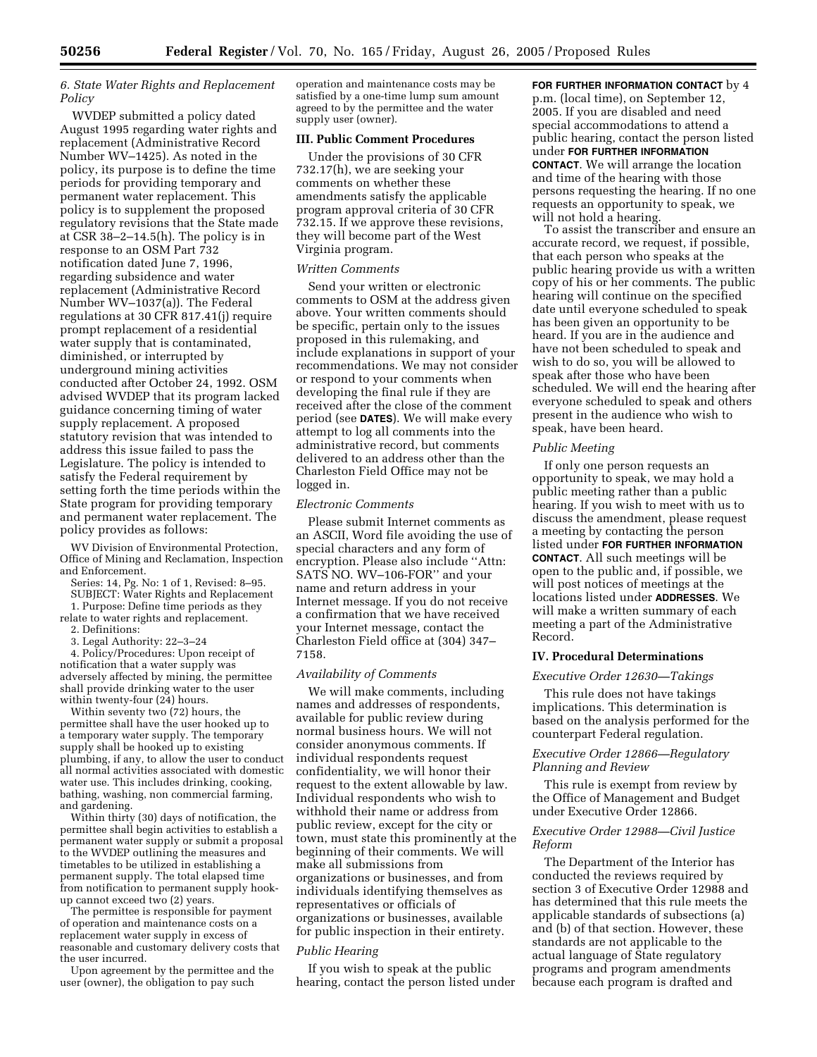# *6. State Water Rights and Replacement Policy*

WVDEP submitted a policy dated August 1995 regarding water rights and replacement (Administrative Record Number WV–1425). As noted in the policy, its purpose is to define the time periods for providing temporary and permanent water replacement. This policy is to supplement the proposed regulatory revisions that the State made at CSR 38–2–14.5(h). The policy is in response to an OSM Part 732 notification dated June 7, 1996, regarding subsidence and water replacement (Administrative Record Number WV–1037(a)). The Federal regulations at 30 CFR 817.41(j) require prompt replacement of a residential water supply that is contaminated, diminished, or interrupted by underground mining activities conducted after October 24, 1992. OSM advised WVDEP that its program lacked guidance concerning timing of water supply replacement. A proposed statutory revision that was intended to address this issue failed to pass the Legislature. The policy is intended to satisfy the Federal requirement by setting forth the time periods within the State program for providing temporary and permanent water replacement. The policy provides as follows:

WV Division of Environmental Protection, Office of Mining and Reclamation, Inspection and Enforcement.

Series: 14, Pg. No: 1 of 1, Revised: 8–95.

SUBJECT: Water Rights and Replacement 1. Purpose: Define time periods as they

relate to water rights and replacement. 2. Definitions:

3. Legal Authority: 22–3–24

4. Policy/Procedures: Upon receipt of notification that a water supply was adversely affected by mining, the permittee shall provide drinking water to the user within twenty-four (24) hours.

Within seventy two (72) hours, the permittee shall have the user hooked up to a temporary water supply. The temporary supply shall be hooked up to existing plumbing, if any, to allow the user to conduct all normal activities associated with domestic water use. This includes drinking, cooking, bathing, washing, non commercial farming, and gardening.

Within thirty (30) days of notification, the permittee shall begin activities to establish a permanent water supply or submit a proposal to the WVDEP outlining the measures and timetables to be utilized in establishing a permanent supply. The total elapsed time from notification to permanent supply hookup cannot exceed two (2) years.

The permittee is responsible for payment of operation and maintenance costs on a replacement water supply in excess of reasonable and customary delivery costs that the user incurred.

Upon agreement by the permittee and the user (owner), the obligation to pay such

operation and maintenance costs may be satisfied by a one-time lump sum amount agreed to by the permittee and the water supply user (owner).

# **III. Public Comment Procedures**

Under the provisions of 30 CFR 732.17(h), we are seeking your comments on whether these amendments satisfy the applicable program approval criteria of 30 CFR 732.15. If we approve these revisions, they will become part of the West Virginia program.

### *Written Comments*

Send your written or electronic comments to OSM at the address given above. Your written comments should be specific, pertain only to the issues proposed in this rulemaking, and include explanations in support of your recommendations. We may not consider or respond to your comments when developing the final rule if they are received after the close of the comment period (see **DATES**). We will make every attempt to log all comments into the administrative record, but comments delivered to an address other than the Charleston Field Office may not be logged in.

# *Electronic Comments*

Please submit Internet comments as an ASCII, Word file avoiding the use of special characters and any form of encryption. Please also include ''Attn: SATS NO. WV–106-FOR'' and your name and return address in your Internet message. If you do not receive a confirmation that we have received your Internet message, contact the Charleston Field office at (304) 347– 7158.

# *Availability of Comments*

We will make comments, including names and addresses of respondents, available for public review during normal business hours. We will not consider anonymous comments. If individual respondents request confidentiality, we will honor their request to the extent allowable by law. Individual respondents who wish to withhold their name or address from public review, except for the city or town, must state this prominently at the beginning of their comments. We will make all submissions from organizations or businesses, and from individuals identifying themselves as representatives or officials of organizations or businesses, available for public inspection in their entirety.

# *Public Hearing*

If you wish to speak at the public hearing, contact the person listed under **FOR FURTHER INFORMATION CONTACT** by 4 p.m. (local time), on September 12, 2005. If you are disabled and need special accommodations to attend a public hearing, contact the person listed under **FOR FURTHER INFORMATION CONTACT**. We will arrange the location and time of the hearing with those persons requesting the hearing. If no one requests an opportunity to speak, we will not hold a hearing.

To assist the transcriber and ensure an accurate record, we request, if possible, that each person who speaks at the public hearing provide us with a written copy of his or her comments. The public hearing will continue on the specified date until everyone scheduled to speak has been given an opportunity to be heard. If you are in the audience and have not been scheduled to speak and wish to do so, you will be allowed to speak after those who have been scheduled. We will end the hearing after everyone scheduled to speak and others present in the audience who wish to speak, have been heard.

### *Public Meeting*

If only one person requests an opportunity to speak, we may hold a public meeting rather than a public hearing. If you wish to meet with us to discuss the amendment, please request a meeting by contacting the person listed under **FOR FURTHER INFORMATION CONTACT**. All such meetings will be open to the public and, if possible, we will post notices of meetings at the locations listed under **ADDRESSES**. We will make a written summary of each meeting a part of the Administrative Record.

### **IV. Procedural Determinations**

### *Executive Order 12630—Takings*

This rule does not have takings implications. This determination is based on the analysis performed for the counterpart Federal regulation.

# *Executive Order 12866—Regulatory Planning and Review*

This rule is exempt from review by the Office of Management and Budget under Executive Order 12866.

# *Executive Order 12988—Civil Justice Reform*

The Department of the Interior has conducted the reviews required by section 3 of Executive Order 12988 and has determined that this rule meets the applicable standards of subsections (a) and (b) of that section. However, these standards are not applicable to the actual language of State regulatory programs and program amendments because each program is drafted and